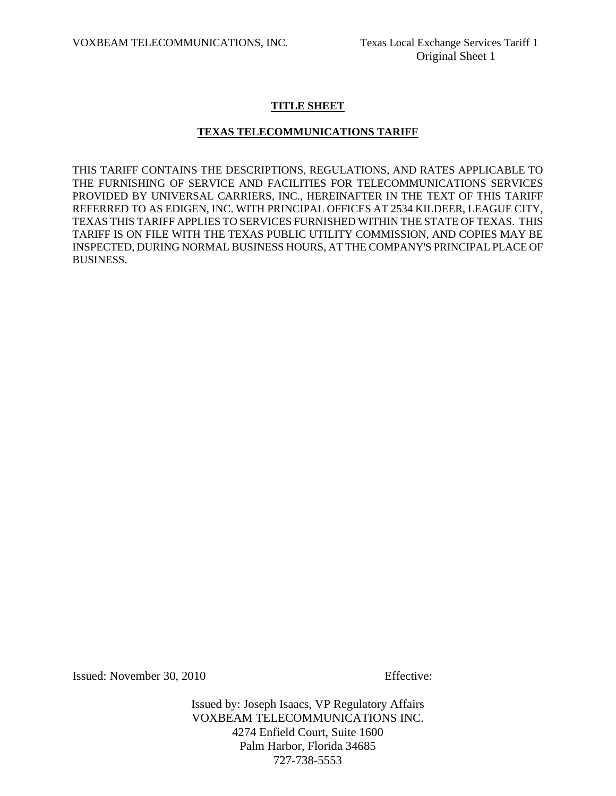# **TITLE SHEET**

# **TEXAS TELECOMMUNICATIONS TARIFF**

THIS TARIFF CONTAINS THE DESCRIPTIONS, REGULATIONS, AND RATES APPLICABLE TO THE FURNISHING OF SERVICE AND FACILITIES FOR TELECOMMUNICATIONS SERVICES PROVIDED BY UNIVERSAL CARRIERS, INC., HEREINAFTER IN THE TEXT OF THIS TARIFF REFERRED TO AS EDIGEN, INC. WITH PRINCIPAL OFFICES AT 2534 KILDEER, LEAGUE CITY, TEXAS THIS TARIFF APPLIES TO SERVICES FURNISHED WITHIN THE STATE OF TEXAS. THIS TARIFF IS ON FILE WITH THE TEXAS PUBLIC UTILITY COMMISSION, AND COPIES MAY BE INSPECTED, DURING NORMAL BUSINESS HOURS, AT THE COMPANY'S PRINCIPAL PLACE OF BUSINESS.

Issued: November 30, 2010 Effective: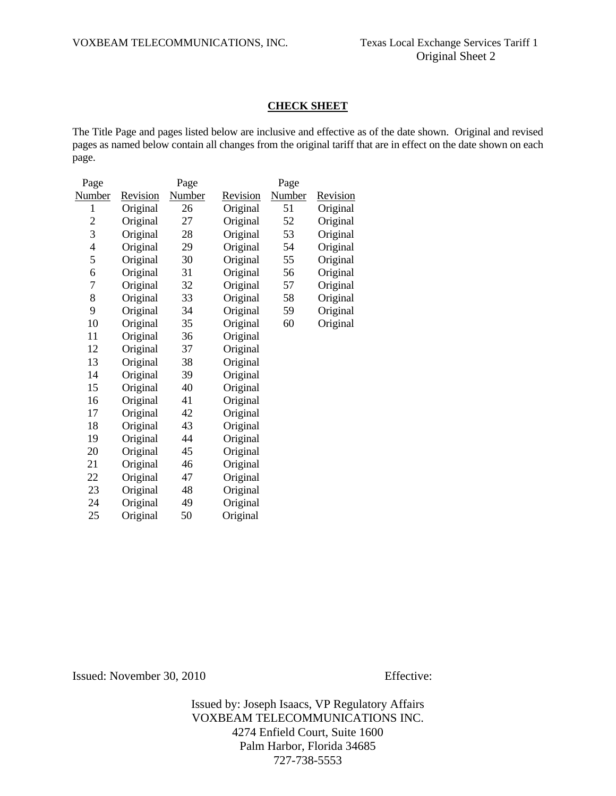#### **CHECK SHEET**

The Title Page and pages listed below are inclusive and effective as of the date shown. Original and revised pages as named below contain all changes from the original tariff that are in effect on the date shown on each page.

| Page          |                 | Page   |                 | Page          |                 |
|---------------|-----------------|--------|-----------------|---------------|-----------------|
| <b>Number</b> | <b>Revision</b> | Number | <u>Revision</u> | <b>Number</b> | <u>Revision</u> |
| $\mathbf{1}$  | Original        | 26     | Original        | 51            | Original        |
| 2             | Original        | 27     | Original        | 52            | Original        |
| 3             | Original        | 28     | Original        | 53            | Original        |
| 4             | Original        | 29     | Original        | 54            | Original        |
| 5             | Original        | 30     | Original        | 55            | Original        |
| 6             | Original        | 31     | Original        | 56            | Original        |
| 7             | Original        | 32     | Original        | 57            | Original        |
| 8             | Original        | 33     | Original        | 58            | Original        |
| 9             | Original        | 34     | Original        | 59            | Original        |
| 10            | Original        | 35     | Original        | 60            | Original        |
| 11            | Original        | 36     | Original        |               |                 |
| 12            | Original        | 37     | Original        |               |                 |
| 13            | Original        | 38     | Original        |               |                 |
| 14            | Original        | 39     | Original        |               |                 |
| 15            | Original        | 40     | Original        |               |                 |
| 16            | Original        | 41     | Original        |               |                 |
| 17            | Original        | 42     | Original        |               |                 |
| 18            | Original        | 43     | Original        |               |                 |
| 19            | Original        | 44     | Original        |               |                 |
| 20            | Original        | 45     | Original        |               |                 |
| 21            | Original        | 46     | Original        |               |                 |
| 22            | Original        | 47     | Original        |               |                 |
| 23            | Original        | 48     | Original        |               |                 |
| 24            | Original        | 49     | Original        |               |                 |
| 25            | Original        | 50     | Original        |               |                 |

Issued: November 30, 2010 Effective: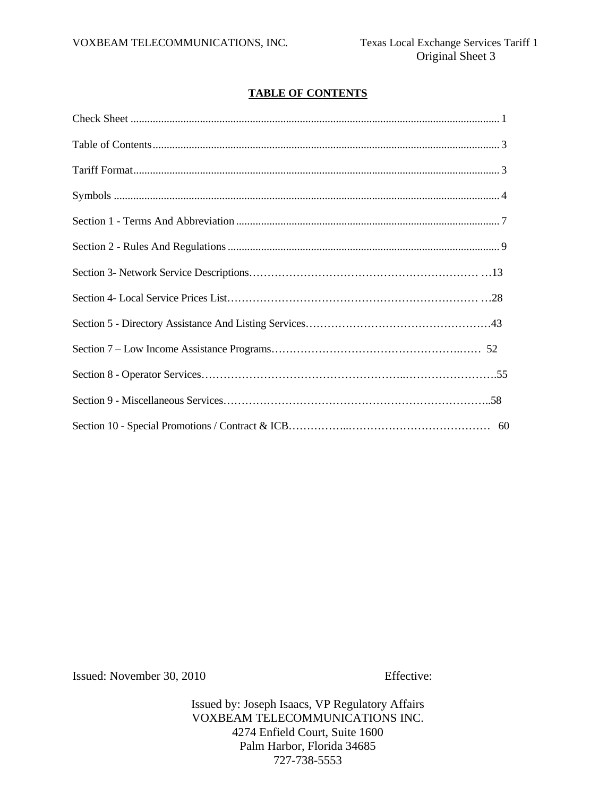# **TABLE OF CONTENTS**

Issued: November 30, 2010 Effective: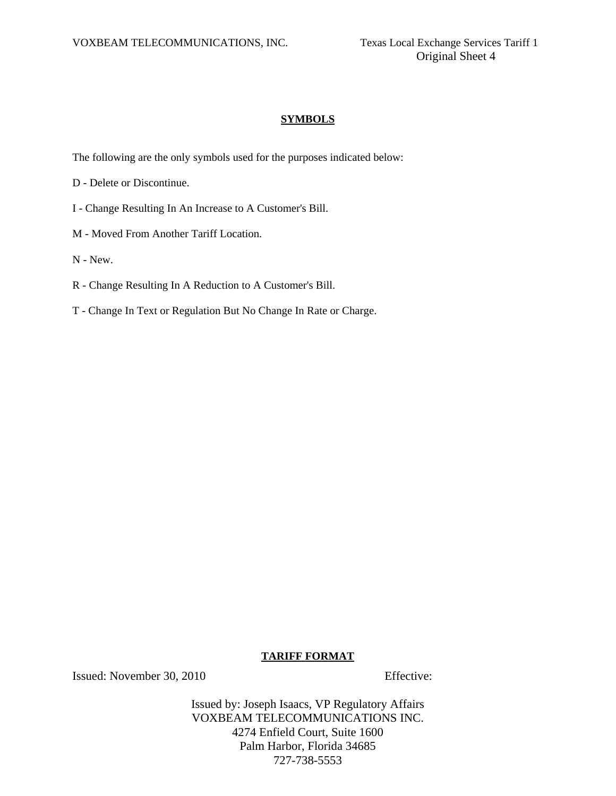# **SYMBOLS**

The following are the only symbols used for the purposes indicated below:

- D Delete or Discontinue.
- I Change Resulting In An Increase to A Customer's Bill.
- M Moved From Another Tariff Location.
- N New.
- R Change Resulting In A Reduction to A Customer's Bill.
- T Change In Text or Regulation But No Change In Rate or Charge.

## **TARIFF FORMAT**

Issued: November 30, 2010 Effective: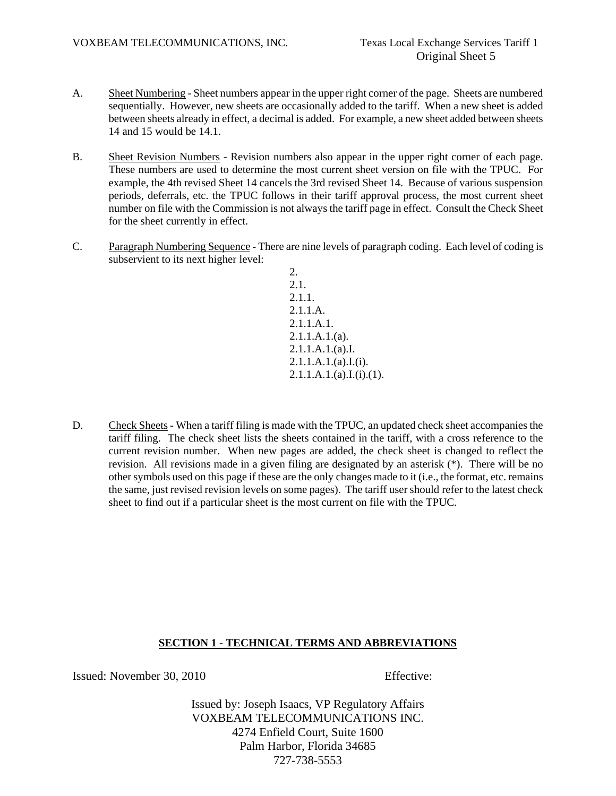- A. Sheet Numbering Sheet numbers appear in the upper right corner of the page. Sheets are numbered sequentially. However, new sheets are occasionally added to the tariff. When a new sheet is added between sheets already in effect, a decimal is added. For example, a new sheet added between sheets 14 and 15 would be 14.1.
- B. Sheet Revision Numbers Revision numbers also appear in the upper right corner of each page. These numbers are used to determine the most current sheet version on file with the TPUC. For example, the 4th revised Sheet 14 cancels the 3rd revised Sheet 14. Because of various suspension periods, deferrals, etc. the TPUC follows in their tariff approval process, the most current sheet number on file with the Commission is not always the tariff page in effect. Consult the Check Sheet for the sheet currently in effect.
- C. Paragraph Numbering Sequence There are nine levels of paragraph coding. Each level of coding is subservient to its next higher level:

2. 2.1. 2.1.1. 2.1.1.A. 2.1.1.A.1. 2.1.1.A.1.(a). 2.1.1.A.1.(a).I. 2.1.1.A.1.(a).I.(i).  $2.1.1.A.1.(a).I.(i).(1).$ 

D. Check Sheets - When a tariff filing is made with the TPUC, an updated check sheet accompanies the tariff filing. The check sheet lists the sheets contained in the tariff, with a cross reference to the current revision number. When new pages are added, the check sheet is changed to reflect the revision. All revisions made in a given filing are designated by an asterisk (\*). There will be no other symbols used on this page if these are the only changes made to it (i.e., the format, etc. remains the same, just revised revision levels on some pages). The tariff user should refer to the latest check sheet to find out if a particular sheet is the most current on file with the TPUC.

# **SECTION 1 - TECHNICAL TERMS AND ABBREVIATIONS**

Issued: November 30, 2010 Effective: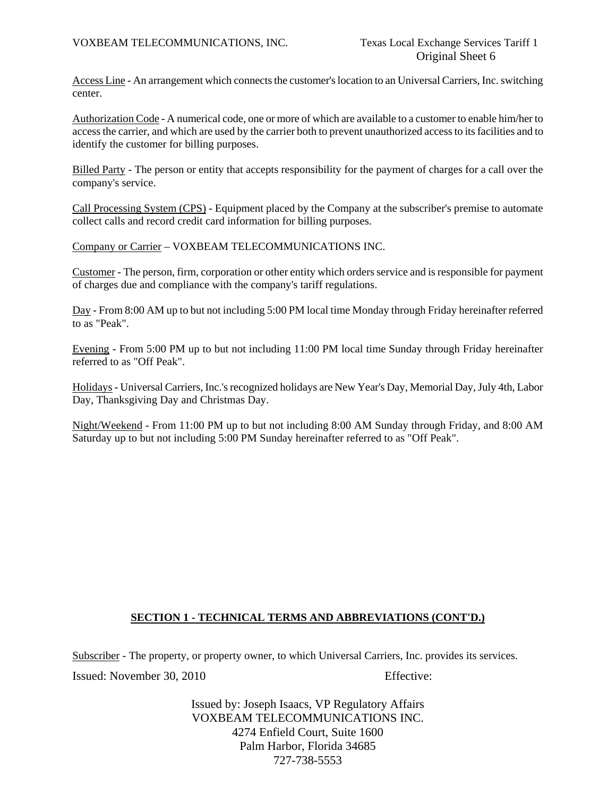Access Line - An arrangement which connects the customer's location to an Universal Carriers, Inc. switching center.

Authorization Code - A numerical code, one or more of which are available to a customer to enable him/her to access the carrier, and which are used by the carrier both to prevent unauthorized access to its facilities and to identify the customer for billing purposes.

Billed Party - The person or entity that accepts responsibility for the payment of charges for a call over the company's service.

Call Processing System (CPS) - Equipment placed by the Company at the subscriber's premise to automate collect calls and record credit card information for billing purposes.

Company or Carrier – VOXBEAM TELECOMMUNICATIONS INC.

Customer - The person, firm, corporation or other entity which orders service and is responsible for payment of charges due and compliance with the company's tariff regulations.

Day - From 8:00 AM up to but not including 5:00 PM local time Monday through Friday hereinafter referred to as "Peak".

Evening - From 5:00 PM up to but not including 11:00 PM local time Sunday through Friday hereinafter referred to as "Off Peak".

Holidays - Universal Carriers, Inc.'s recognized holidays are New Year's Day, Memorial Day, July 4th, Labor Day, Thanksgiving Day and Christmas Day.

Night/Weekend - From 11:00 PM up to but not including 8:00 AM Sunday through Friday, and 8:00 AM Saturday up to but not including 5:00 PM Sunday hereinafter referred to as "Off Peak".

## **SECTION 1 - TECHNICAL TERMS AND ABBREVIATIONS (CONT'D.)**

Issued: November 30, 2010 Effective: Subscriber - The property, or property owner, to which Universal Carriers, Inc. provides its services.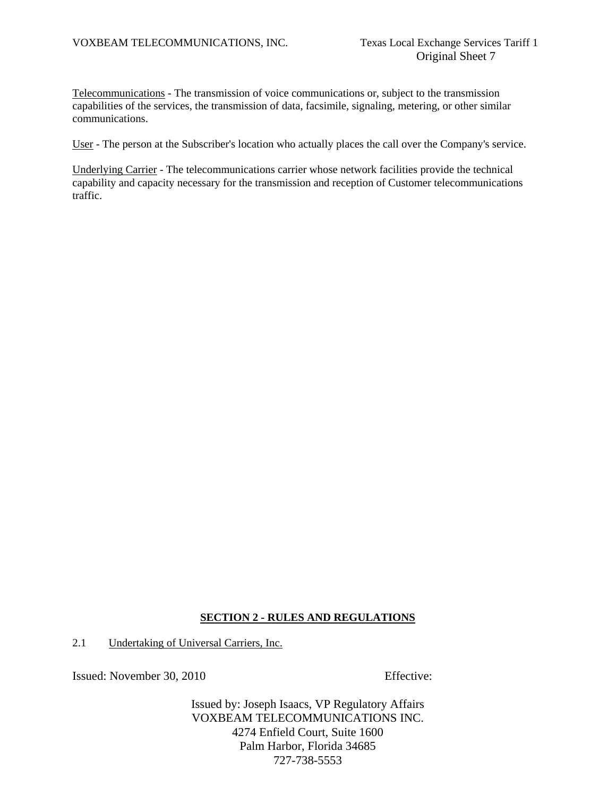Telecommunications - The transmission of voice communications or, subject to the transmission capabilities of the services, the transmission of data, facsimile, signaling, metering, or other similar communications.

User - The person at the Subscriber's location who actually places the call over the Company's service.

Underlying Carrier - The telecommunications carrier whose network facilities provide the technical capability and capacity necessary for the transmission and reception of Customer telecommunications traffic.

# **SECTION 2 - RULES AND REGULATIONS**

2.1 Undertaking of Universal Carriers, Inc.

Issued: November 30, 2010 Effective: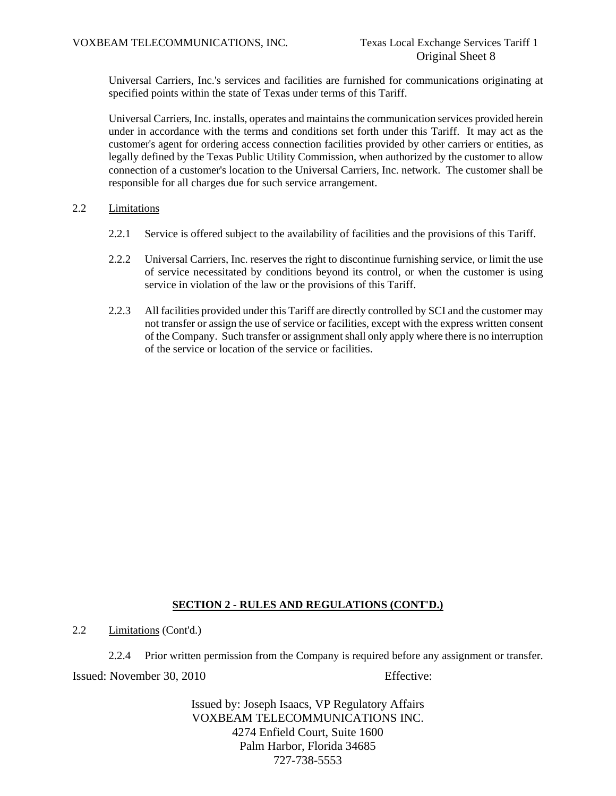Universal Carriers, Inc.'s services and facilities are furnished for communications originating at specified points within the state of Texas under terms of this Tariff.

Universal Carriers, Inc. installs, operates and maintains the communication services provided herein under in accordance with the terms and conditions set forth under this Tariff. It may act as the customer's agent for ordering access connection facilities provided by other carriers or entities, as legally defined by the Texas Public Utility Commission, when authorized by the customer to allow connection of a customer's location to the Universal Carriers, Inc. network. The customer shall be responsible for all charges due for such service arrangement.

# 2.2 Limitations

- 2.2.1 Service is offered subject to the availability of facilities and the provisions of this Tariff.
- 2.2.2 Universal Carriers, Inc. reserves the right to discontinue furnishing service, or limit the use of service necessitated by conditions beyond its control, or when the customer is using service in violation of the law or the provisions of this Tariff.
- 2.2.3 All facilities provided under this Tariff are directly controlled by SCI and the customer may not transfer or assign the use of service or facilities, except with the express written consent of the Company. Such transfer or assignment shall only apply where there is no interruption of the service or location of the service or facilities.

# **SECTION 2 - RULES AND REGULATIONS (CONT'D.)**

2.2 Limitations (Cont'd.)

2.2.4 Prior written permission from the Company is required before any assignment or transfer.

Issued: November 30, 2010 Effective: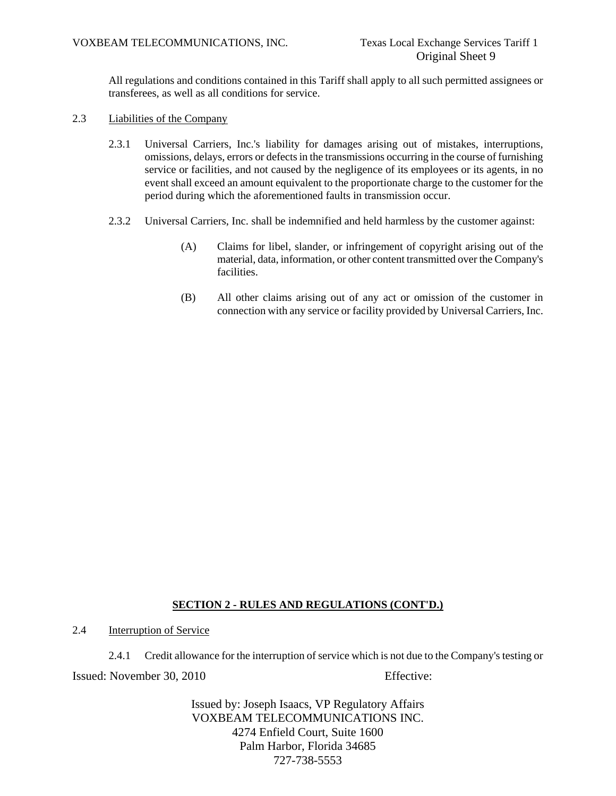All regulations and conditions contained in this Tariff shall apply to all such permitted assignees or transferees, as well as all conditions for service.

- 2.3 Liabilities of the Company
	- 2.3.1 Universal Carriers, Inc.'s liability for damages arising out of mistakes, interruptions, omissions, delays, errors or defects in the transmissions occurring in the course of furnishing service or facilities, and not caused by the negligence of its employees or its agents, in no event shall exceed an amount equivalent to the proportionate charge to the customer for the period during which the aforementioned faults in transmission occur.
	- 2.3.2 Universal Carriers, Inc. shall be indemnified and held harmless by the customer against:
		- (A) Claims for libel, slander, or infringement of copyright arising out of the material, data, information, or other content transmitted over the Company's facilities.
		- (B) All other claims arising out of any act or omission of the customer in connection with any service or facility provided by Universal Carriers, Inc.

# **SECTION 2 - RULES AND REGULATIONS (CONT'D.)**

2.4 Interruption of Service

Issued: November 30, 2010 Effective: 2.4.1 Credit allowance for the interruption of service which is not due to the Company's testing or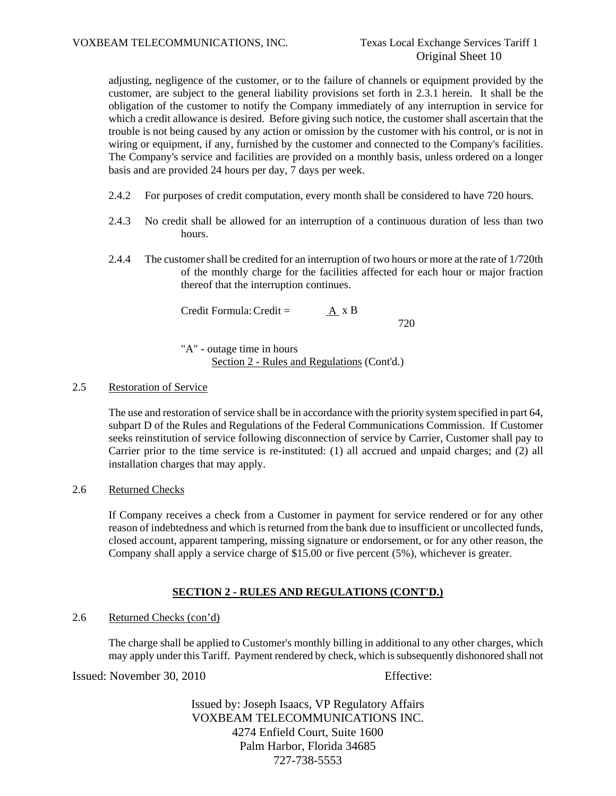adjusting, negligence of the customer, or to the failure of channels or equipment provided by the customer, are subject to the general liability provisions set forth in 2.3.1 herein. It shall be the obligation of the customer to notify the Company immediately of any interruption in service for which a credit allowance is desired. Before giving such notice, the customer shall ascertain that the trouble is not being caused by any action or omission by the customer with his control, or is not in wiring or equipment, if any, furnished by the customer and connected to the Company's facilities. The Company's service and facilities are provided on a monthly basis, unless ordered on a longer basis and are provided 24 hours per day, 7 days per week.

- 2.4.2 For purposes of credit computation, every month shall be considered to have 720 hours.
- 2.4.3 No credit shall be allowed for an interruption of a continuous duration of less than two hours.
- 2.4.4 The customer shall be credited for an interruption of two hours or more at the rate of 1/720th of the monthly charge for the facilities affected for each hour or major fraction thereof that the interruption continues.

Credit Formula: Credit = A x B 720

"A" - outage time in hours Section 2 - Rules and Regulations (Cont'd.)

# 2.5 Restoration of Service

The use and restoration of service shall be in accordance with the priority system specified in part 64, subpart D of the Rules and Regulations of the Federal Communications Commission. If Customer seeks reinstitution of service following disconnection of service by Carrier, Customer shall pay to Carrier prior to the time service is re-instituted: (1) all accrued and unpaid charges; and (2) all installation charges that may apply.

2.6 Returned Checks

If Company receives a check from a Customer in payment for service rendered or for any other reason of indebtedness and which is returned from the bank due to insufficient or uncollected funds, closed account, apparent tampering, missing signature or endorsement, or for any other reason, the Company shall apply a service charge of \$15.00 or five percent (5%), whichever is greater.

# **SECTION 2 - RULES AND REGULATIONS (CONT'D.)**

## 2.6 Returned Checks (con'd)

The charge shall be applied to Customer's monthly billing in additional to any other charges, which may apply under this Tariff. Payment rendered by check, which is subsequently dishonored shall not

Issued: November 30, 2010 Effective: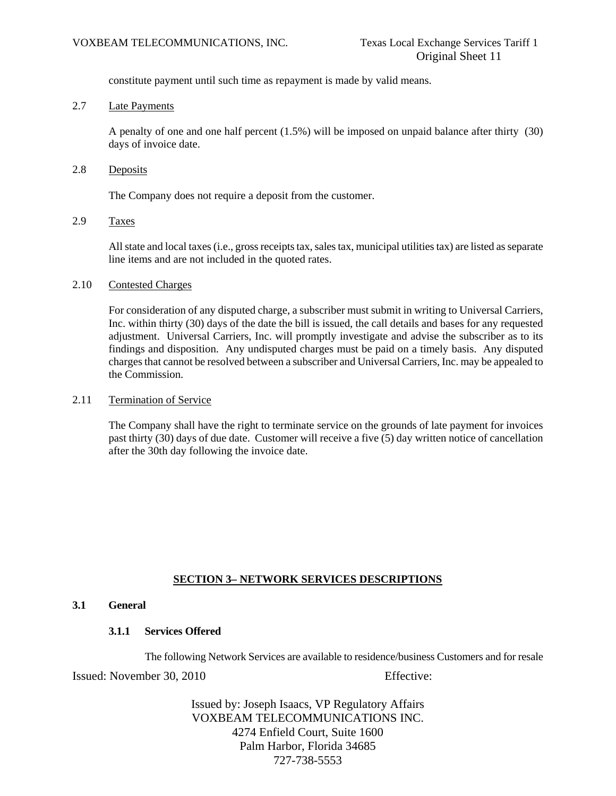constitute payment until such time as repayment is made by valid means.

# 2.7 Late Payments

A penalty of one and one half percent (1.5%) will be imposed on unpaid balance after thirty (30) days of invoice date.

2.8 Deposits

The Company does not require a deposit from the customer.

2.9 Taxes

All state and local taxes (i.e., gross receipts tax, sales tax, municipal utilities tax) are listed as separate line items and are not included in the quoted rates.

# 2.10 Contested Charges

For consideration of any disputed charge, a subscriber must submit in writing to Universal Carriers, Inc. within thirty (30) days of the date the bill is issued, the call details and bases for any requested adjustment. Universal Carriers, Inc. will promptly investigate and advise the subscriber as to its findings and disposition. Any undisputed charges must be paid on a timely basis. Any disputed charges that cannot be resolved between a subscriber and Universal Carriers, Inc. may be appealed to the Commission.

# 2.11 Termination of Service

The Company shall have the right to terminate service on the grounds of late payment for invoices past thirty (30) days of due date. Customer will receive a five (5) day written notice of cancellation after the 30th day following the invoice date.

# **SECTION 3– NETWORK SERVICES DESCRIPTIONS**

# **3.1 General**

## **3.1.1 Services Offered**

The following Network Services are available to residence/business Customers and for resale

Issued: November 30, 2010 Effective: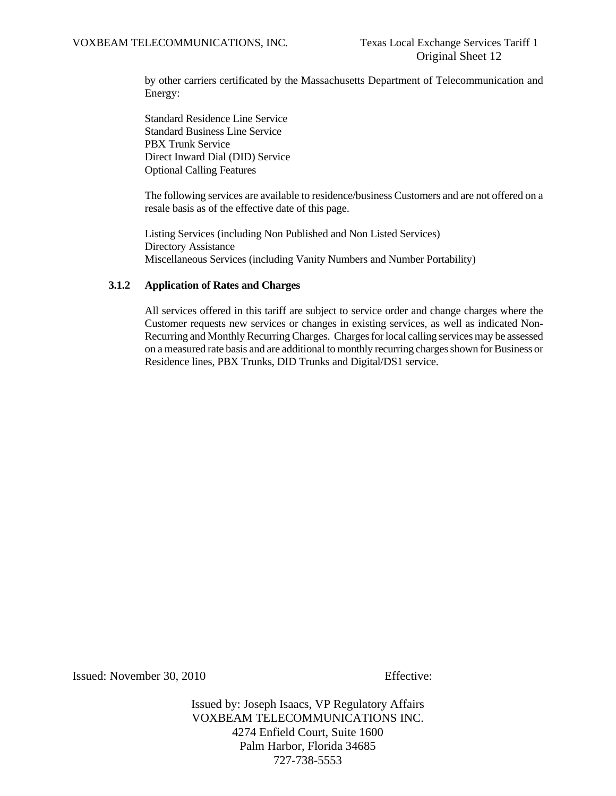by other carriers certificated by the Massachusetts Department of Telecommunication and Energy:

 Standard Residence Line Service Standard Business Line Service PBX Trunk Service Direct Inward Dial (DID) Service Optional Calling Features

 The following services are available to residence/business Customers and are not offered on a resale basis as of the effective date of this page.

 Listing Services (including Non Published and Non Listed Services) Directory Assistance Miscellaneous Services (including Vanity Numbers and Number Portability)

#### **3.1.2 Application of Rates and Charges**

 All services offered in this tariff are subject to service order and change charges where the Customer requests new services or changes in existing services, as well as indicated Non-Recurring and Monthly Recurring Charges. Charges for local calling services may be assessed on a measured rate basis and are additional to monthly recurring charges shown for Business or Residence lines, PBX Trunks, DID Trunks and Digital/DS1 service.

Issued: November 30, 2010 Effective: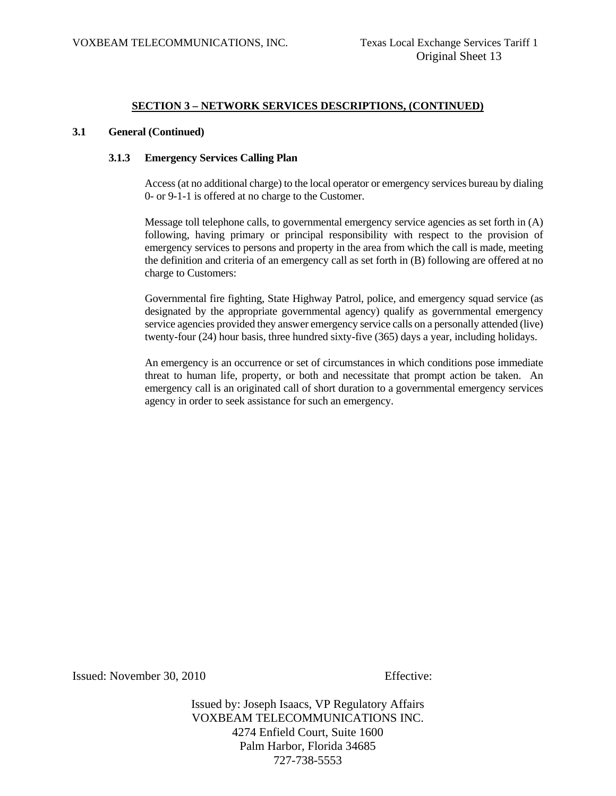#### **3.1 General (Continued)**

#### **3.1.3 Emergency Services Calling Plan**

 Access (at no additional charge) to the local operator or emergency services bureau by dialing 0- or 9-1-1 is offered at no charge to the Customer.

 Message toll telephone calls, to governmental emergency service agencies as set forth in (A) following, having primary or principal responsibility with respect to the provision of emergency services to persons and property in the area from which the call is made, meeting the definition and criteria of an emergency call as set forth in (B) following are offered at no charge to Customers:

 Governmental fire fighting, State Highway Patrol, police, and emergency squad service (as designated by the appropriate governmental agency) qualify as governmental emergency service agencies provided they answer emergency service calls on a personally attended (live) twenty-four (24) hour basis, three hundred sixty-five (365) days a year, including holidays.

 An emergency is an occurrence or set of circumstances in which conditions pose immediate threat to human life, property, or both and necessitate that prompt action be taken. An emergency call is an originated call of short duration to a governmental emergency services agency in order to seek assistance for such an emergency.

Issued: November 30, 2010 Effective: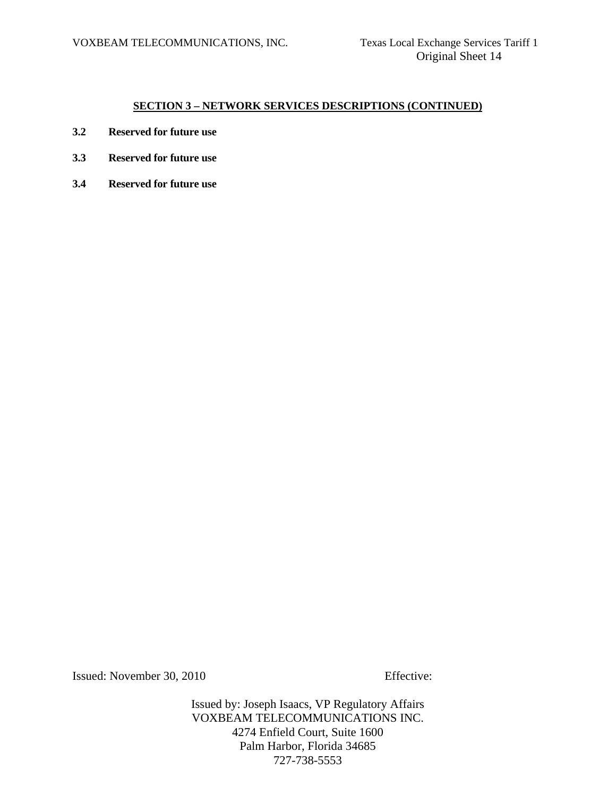- **3.2 Reserved for future use**
- **3.3 Reserved for future use**
- **3.4 Reserved for future use**

Issued: November 30, 2010 Effective: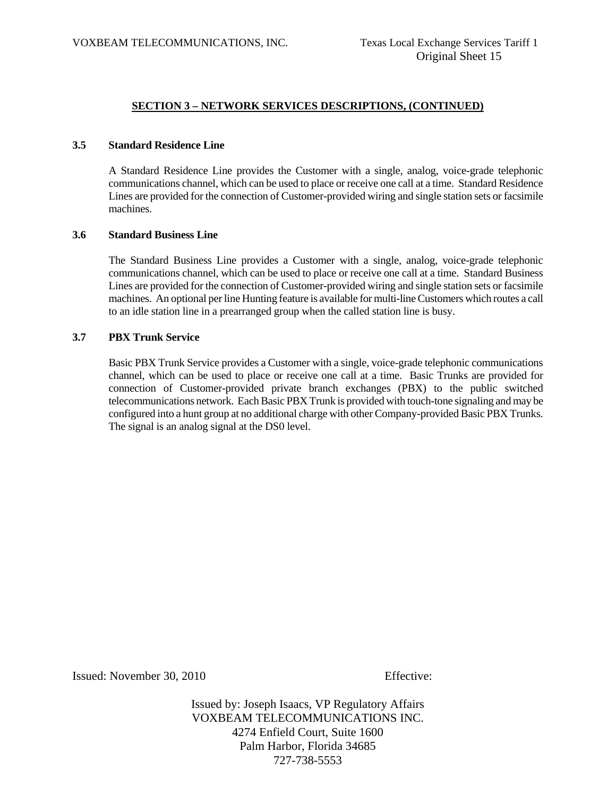#### **3.5 Standard Residence Line**

 A Standard Residence Line provides the Customer with a single, analog, voice-grade telephonic communications channel, which can be used to place or receive one call at a time. Standard Residence Lines are provided for the connection of Customer-provided wiring and single station sets or facsimile machines.

#### **3.6 Standard Business Line**

 The Standard Business Line provides a Customer with a single, analog, voice-grade telephonic communications channel, which can be used to place or receive one call at a time. Standard Business Lines are provided for the connection of Customer-provided wiring and single station sets or facsimile machines. An optional per line Hunting feature is available for multi-line Customers which routes a call to an idle station line in a prearranged group when the called station line is busy.

#### **3.7 PBX Trunk Service**

 Basic PBX Trunk Service provides a Customer with a single, voice-grade telephonic communications channel, which can be used to place or receive one call at a time. Basic Trunks are provided for connection of Customer-provided private branch exchanges (PBX) to the public switched telecommunications network. Each Basic PBX Trunk is provided with touch-tone signaling and may be configured into a hunt group at no additional charge with other Company-provided Basic PBX Trunks. The signal is an analog signal at the DS0 level.

Issued: November 30, 2010 Effective: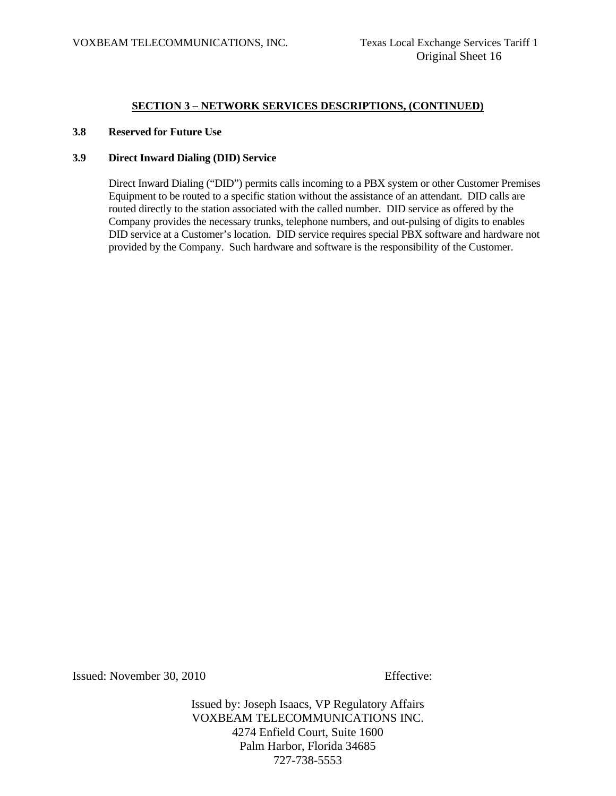#### **3.8 Reserved for Future Use**

#### **3.9 Direct Inward Dialing (DID) Service**

 Direct Inward Dialing ("DID") permits calls incoming to a PBX system or other Customer Premises Equipment to be routed to a specific station without the assistance of an attendant. DID calls are routed directly to the station associated with the called number. DID service as offered by the Company provides the necessary trunks, telephone numbers, and out-pulsing of digits to enables DID service at a Customer's location. DID service requires special PBX software and hardware not provided by the Company. Such hardware and software is the responsibility of the Customer.

Issued: November 30, 2010 Effective: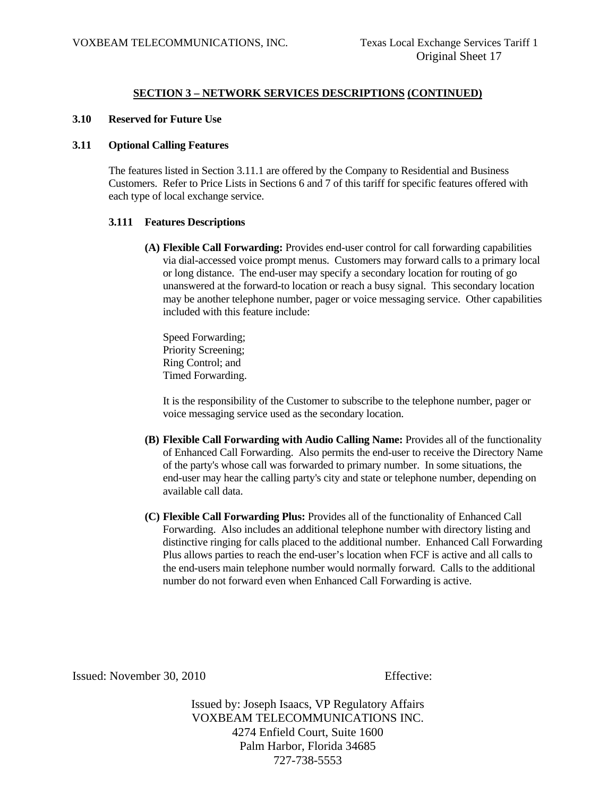#### **3.10 Reserved for Future Use**

#### **3.11 Optional Calling Features**

 The features listed in Section 3.11.1 are offered by the Company to Residential and Business Customers. Refer to Price Lists in Sections 6 and 7 of this tariff for specific features offered with each type of local exchange service.

#### **3.111 Features Descriptions**

**(A) Flexible Call Forwarding:** Provides end-user control for call forwarding capabilities via dial-accessed voice prompt menus. Customers may forward calls to a primary local or long distance. The end-user may specify a secondary location for routing of go unanswered at the forward-to location or reach a busy signal. This secondary location may be another telephone number, pager or voice messaging service. Other capabilities included with this feature include:

 Speed Forwarding; Priority Screening; Ring Control; and Timed Forwarding.

 It is the responsibility of the Customer to subscribe to the telephone number, pager or voice messaging service used as the secondary location.

- **(B) Flexible Call Forwarding with Audio Calling Name:** Provides all of the functionality of Enhanced Call Forwarding. Also permits the end-user to receive the Directory Name of the party's whose call was forwarded to primary number. In some situations, the end-user may hear the calling party's city and state or telephone number, depending on available call data.
- **(C) Flexible Call Forwarding Plus:** Provides all of the functionality of Enhanced Call Forwarding. Also includes an additional telephone number with directory listing and distinctive ringing for calls placed to the additional number. Enhanced Call Forwarding Plus allows parties to reach the end-user's location when FCF is active and all calls to the end-users main telephone number would normally forward. Calls to the additional number do not forward even when Enhanced Call Forwarding is active.

Issued: November 30, 2010 Effective: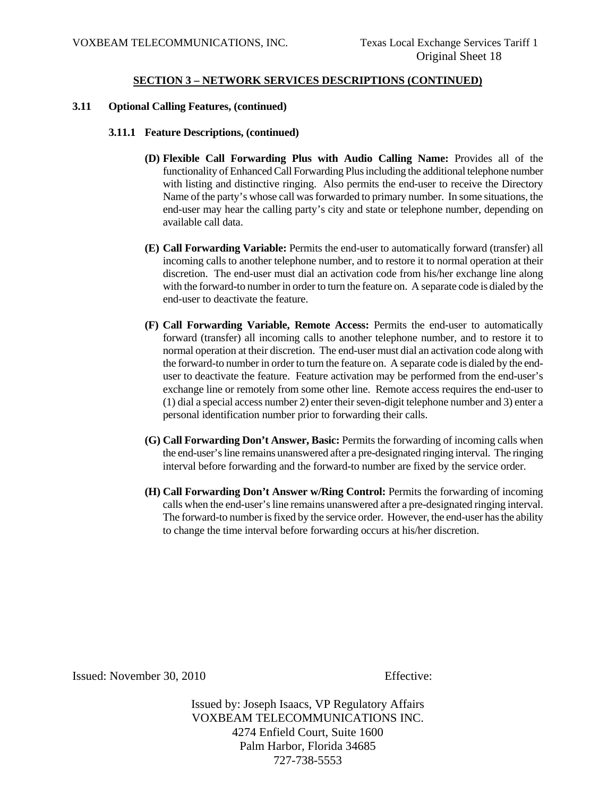#### **3.11 Optional Calling Features, (continued)**

#### **3.11.1 Feature Descriptions, (continued)**

- **(D) Flexible Call Forwarding Plus with Audio Calling Name:** Provides all of the functionality of Enhanced Call Forwarding Plus including the additional telephone number with listing and distinctive ringing. Also permits the end-user to receive the Directory Name of the party's whose call was forwarded to primary number. In some situations, the end-user may hear the calling party's city and state or telephone number, depending on available call data.
- **(E) Call Forwarding Variable:** Permits the end-user to automatically forward (transfer) all incoming calls to another telephone number, and to restore it to normal operation at their discretion. The end-user must dial an activation code from his/her exchange line along with the forward-to number in order to turn the feature on. A separate code is dialed by the end-user to deactivate the feature.
- **(F) Call Forwarding Variable, Remote Access:** Permits the end-user to automatically forward (transfer) all incoming calls to another telephone number, and to restore it to normal operation at their discretion. The end-user must dial an activation code along with the forward-to number in order to turn the feature on. A separate code is dialed by the enduser to deactivate the feature. Feature activation may be performed from the end-user's exchange line or remotely from some other line. Remote access requires the end-user to (1) dial a special access number 2) enter their seven-digit telephone number and 3) enter a personal identification number prior to forwarding their calls.
- **(G) Call Forwarding Don't Answer, Basic:** Permits the forwarding of incoming calls when the end-user's line remains unanswered after a pre-designated ringing interval. The ringing interval before forwarding and the forward-to number are fixed by the service order.
- **(H) Call Forwarding Don't Answer w/Ring Control:** Permits the forwarding of incoming calls when the end-user's line remains unanswered after a pre-designated ringing interval. The forward-to number is fixed by the service order. However, the end-user has the ability to change the time interval before forwarding occurs at his/her discretion.

Issued: November 30, 2010 Effective: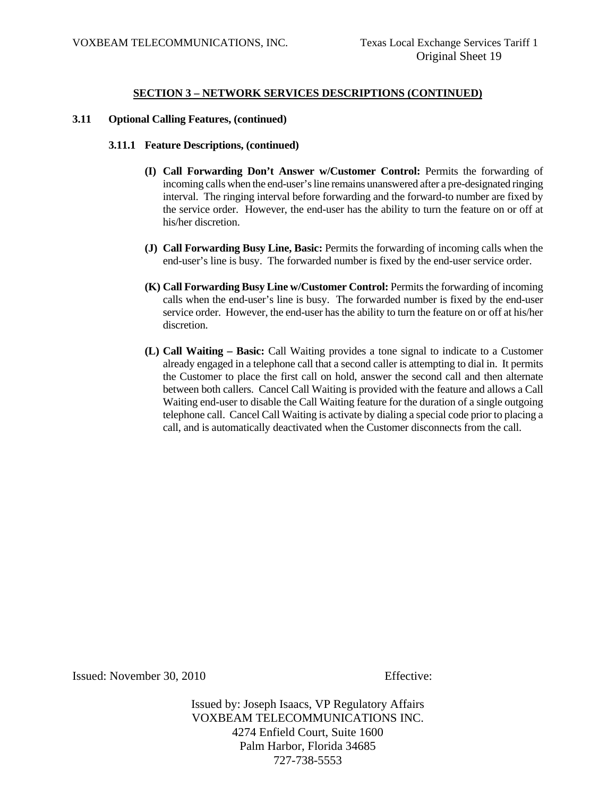#### **3.11 Optional Calling Features, (continued)**

#### **3.11.1 Feature Descriptions, (continued)**

- **(I) Call Forwarding Don't Answer w/Customer Control:** Permits the forwarding of incoming calls when the end-user's line remains unanswered after a pre-designated ringing interval. The ringing interval before forwarding and the forward-to number are fixed by the service order. However, the end-user has the ability to turn the feature on or off at his/her discretion.
- **(J) Call Forwarding Busy Line, Basic:** Permits the forwarding of incoming calls when the end-user's line is busy. The forwarded number is fixed by the end-user service order.
- **(K) Call Forwarding Busy Line w/Customer Control:** Permits the forwarding of incoming calls when the end-user's line is busy. The forwarded number is fixed by the end-user service order. However, the end-user has the ability to turn the feature on or off at his/her discretion.
- **(L) Call Waiting Basic:** Call Waiting provides a tone signal to indicate to a Customer already engaged in a telephone call that a second caller is attempting to dial in. It permits the Customer to place the first call on hold, answer the second call and then alternate between both callers. Cancel Call Waiting is provided with the feature and allows a Call Waiting end-user to disable the Call Waiting feature for the duration of a single outgoing telephone call. Cancel Call Waiting is activate by dialing a special code prior to placing a call, and is automatically deactivated when the Customer disconnects from the call.

Issued: November 30, 2010 Effective: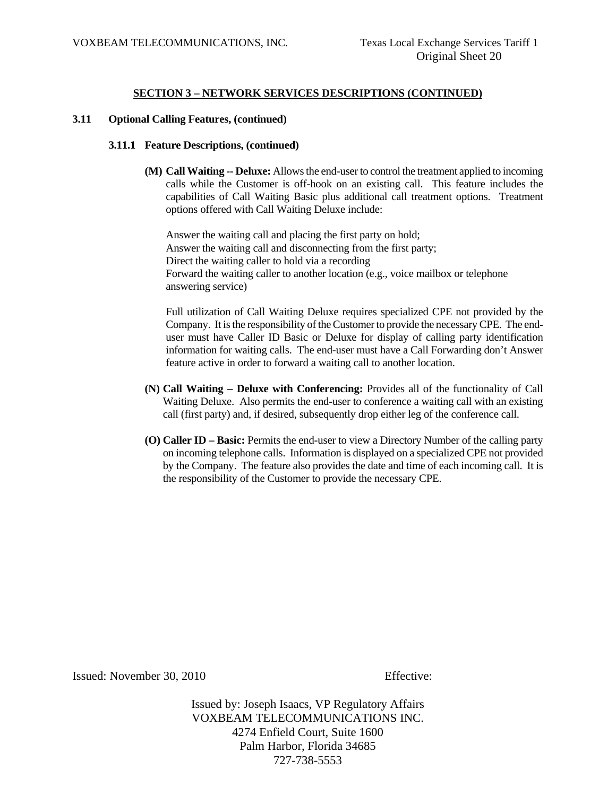#### **3.11 Optional Calling Features, (continued)**

#### **3.11.1 Feature Descriptions, (continued)**

**(M) Call Waiting -- Deluxe:** Allows the end-user to control the treatment applied to incoming calls while the Customer is off-hook on an existing call. This feature includes the capabilities of Call Waiting Basic plus additional call treatment options. Treatment options offered with Call Waiting Deluxe include:

 Answer the waiting call and placing the first party on hold; Answer the waiting call and disconnecting from the first party; Direct the waiting caller to hold via a recording Forward the waiting caller to another location (e.g., voice mailbox or telephone answering service)

 Full utilization of Call Waiting Deluxe requires specialized CPE not provided by the Company. It is the responsibility of the Customer to provide the necessary CPE. The enduser must have Caller ID Basic or Deluxe for display of calling party identification information for waiting calls. The end-user must have a Call Forwarding don't Answer feature active in order to forward a waiting call to another location.

- **(N) Call Waiting Deluxe with Conferencing:** Provides all of the functionality of Call Waiting Deluxe. Also permits the end-user to conference a waiting call with an existing call (first party) and, if desired, subsequently drop either leg of the conference call.
- **(O) Caller ID Basic:** Permits the end-user to view a Directory Number of the calling party on incoming telephone calls. Information is displayed on a specialized CPE not provided by the Company. The feature also provides the date and time of each incoming call. It is the responsibility of the Customer to provide the necessary CPE.

Issued: November 30, 2010 Effective: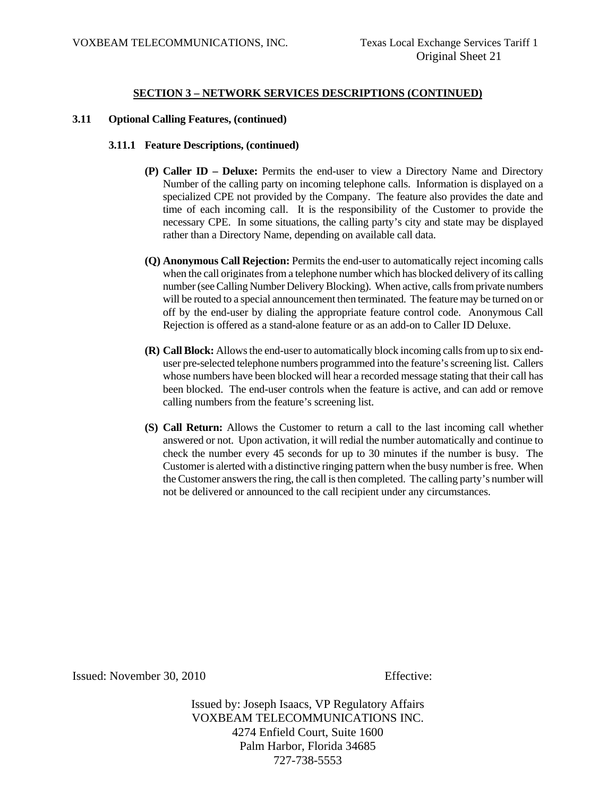#### **3.11 Optional Calling Features, (continued)**

#### **3.11.1 Feature Descriptions, (continued)**

- **(P) Caller ID Deluxe:** Permits the end-user to view a Directory Name and Directory Number of the calling party on incoming telephone calls. Information is displayed on a specialized CPE not provided by the Company. The feature also provides the date and time of each incoming call. It is the responsibility of the Customer to provide the necessary CPE. In some situations, the calling party's city and state may be displayed rather than a Directory Name, depending on available call data.
- **(Q) Anonymous Call Rejection:** Permits the end-user to automatically reject incoming calls when the call originates from a telephone number which has blocked delivery of its calling number (see Calling Number Delivery Blocking). When active, calls from private numbers will be routed to a special announcement then terminated. The feature may be turned on or off by the end-user by dialing the appropriate feature control code. Anonymous Call Rejection is offered as a stand-alone feature or as an add-on to Caller ID Deluxe.
- **(R) Call Block:** Allows the end-user to automatically block incoming calls from up to six enduser pre-selected telephone numbers programmed into the feature's screening list. Callers whose numbers have been blocked will hear a recorded message stating that their call has been blocked. The end-user controls when the feature is active, and can add or remove calling numbers from the feature's screening list.
- **(S) Call Return:** Allows the Customer to return a call to the last incoming call whether answered or not. Upon activation, it will redial the number automatically and continue to check the number every 45 seconds for up to 30 minutes if the number is busy. The Customer is alerted with a distinctive ringing pattern when the busy number is free. When the Customer answers the ring, the call is then completed. The calling party's number will not be delivered or announced to the call recipient under any circumstances.

Issued: November 30, 2010 Effective: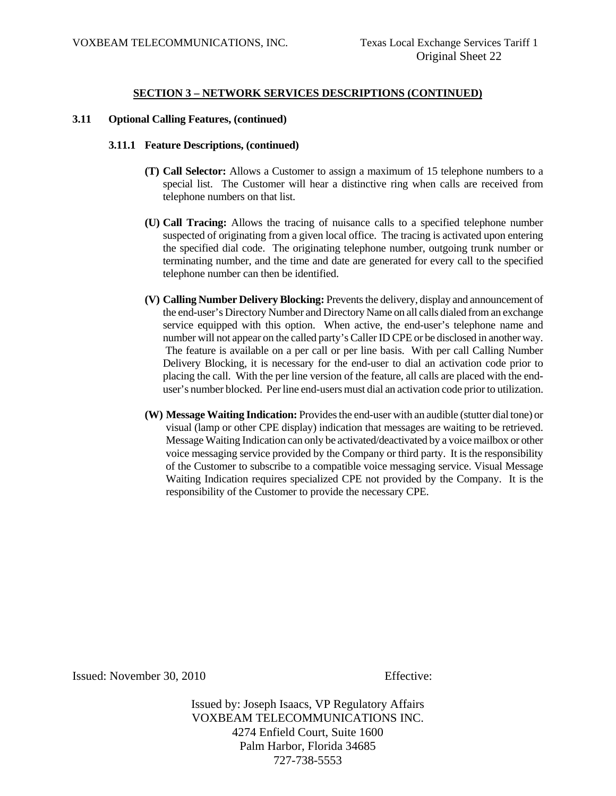#### **3.11 Optional Calling Features, (continued)**

#### **3.11.1 Feature Descriptions, (continued)**

- **(T) Call Selector:** Allows a Customer to assign a maximum of 15 telephone numbers to a special list. The Customer will hear a distinctive ring when calls are received from telephone numbers on that list.
- **(U) Call Tracing:** Allows the tracing of nuisance calls to a specified telephone number suspected of originating from a given local office. The tracing is activated upon entering the specified dial code. The originating telephone number, outgoing trunk number or terminating number, and the time and date are generated for every call to the specified telephone number can then be identified.
- **(V) Calling Number Delivery Blocking:** Prevents the delivery, display and announcement of the end-user's Directory Number and Directory Name on all calls dialed from an exchange service equipped with this option. When active, the end-user's telephone name and number will not appear on the called party's Caller ID CPE or be disclosed in another way. The feature is available on a per call or per line basis. With per call Calling Number Delivery Blocking, it is necessary for the end-user to dial an activation code prior to placing the call. With the per line version of the feature, all calls are placed with the enduser's number blocked. Per line end-users must dial an activation code prior to utilization.
- **(W) Message Waiting Indication:** Provides the end-user with an audible (stutter dial tone) or visual (lamp or other CPE display) indication that messages are waiting to be retrieved. Message Waiting Indication can only be activated/deactivated by a voice mailbox or other voice messaging service provided by the Company or third party. It is the responsibility of the Customer to subscribe to a compatible voice messaging service. Visual Message Waiting Indication requires specialized CPE not provided by the Company. It is the responsibility of the Customer to provide the necessary CPE.

Issued: November 30, 2010 Effective: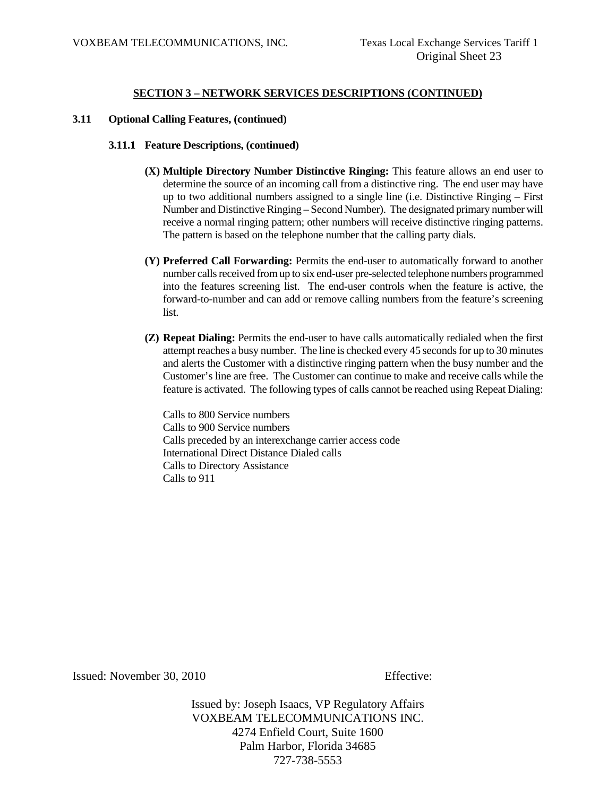#### **3.11 Optional Calling Features, (continued)**

#### **3.11.1 Feature Descriptions, (continued)**

- **(X) Multiple Directory Number Distinctive Ringing:** This feature allows an end user to determine the source of an incoming call from a distinctive ring. The end user may have up to two additional numbers assigned to a single line (i.e. Distinctive Ringing – First Number and Distinctive Ringing – Second Number). The designated primary number will receive a normal ringing pattern; other numbers will receive distinctive ringing patterns. The pattern is based on the telephone number that the calling party dials.
- **(Y) Preferred Call Forwarding:** Permits the end-user to automatically forward to another number calls received from up to six end-user pre-selected telephone numbers programmed into the features screening list. The end-user controls when the feature is active, the forward-to-number and can add or remove calling numbers from the feature's screening list.
- **(Z) Repeat Dialing:** Permits the end-user to have calls automatically redialed when the first attempt reaches a busy number. The line is checked every 45 seconds for up to 30 minutes and alerts the Customer with a distinctive ringing pattern when the busy number and the Customer's line are free. The Customer can continue to make and receive calls while the feature is activated. The following types of calls cannot be reached using Repeat Dialing:

Calls to 800 Service numbers Calls to 900 Service numbers Calls preceded by an interexchange carrier access code International Direct Distance Dialed calls Calls to Directory Assistance Calls to 911

Issued: November 30, 2010 Effective: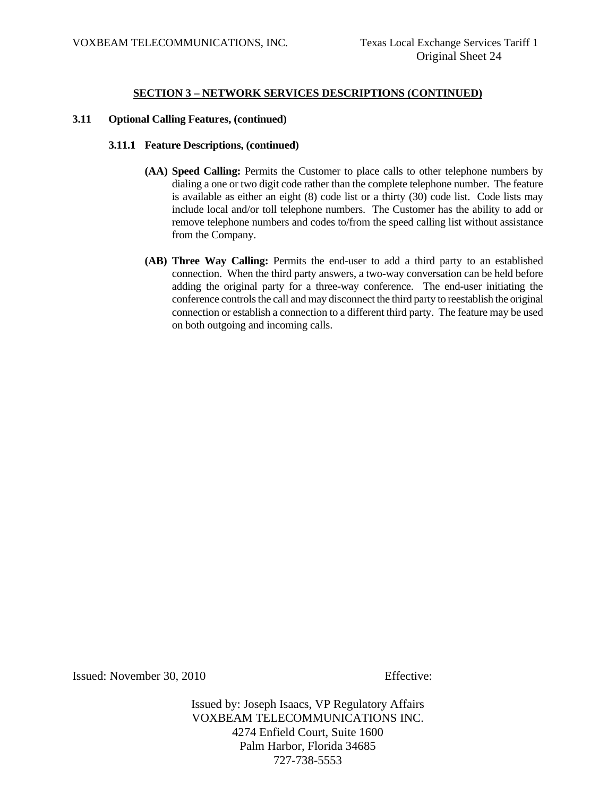#### **3.11 Optional Calling Features, (continued)**

#### **3.11.1 Feature Descriptions, (continued)**

- **(AA) Speed Calling:** Permits the Customer to place calls to other telephone numbers by dialing a one or two digit code rather than the complete telephone number. The feature is available as either an eight (8) code list or a thirty (30) code list. Code lists may include local and/or toll telephone numbers. The Customer has the ability to add or remove telephone numbers and codes to/from the speed calling list without assistance from the Company.
- **(AB) Three Way Calling:** Permits the end-user to add a third party to an established connection. When the third party answers, a two-way conversation can be held before adding the original party for a three-way conference. The end-user initiating the conference controls the call and may disconnect the third party to reestablish the original connection or establish a connection to a different third party. The feature may be used on both outgoing and incoming calls.

Issued: November 30, 2010 Effective: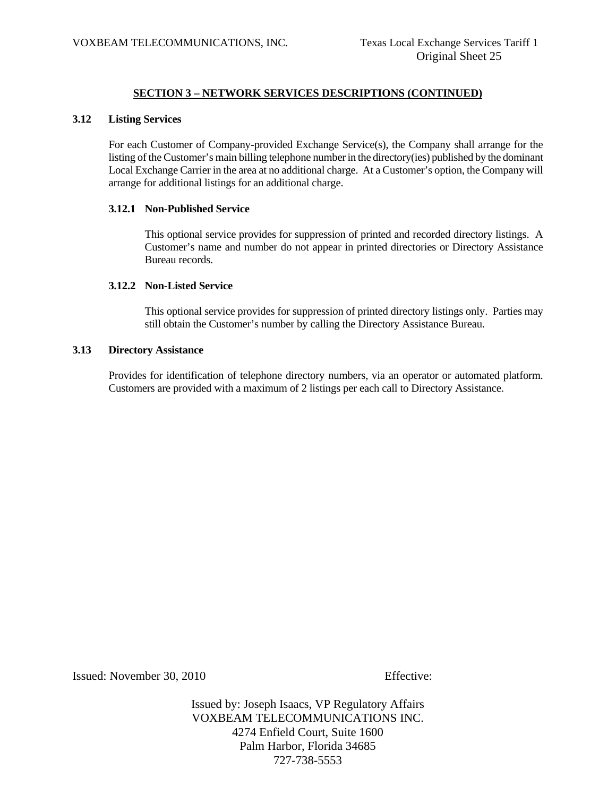#### **3.12 Listing Services**

 For each Customer of Company-provided Exchange Service(s), the Company shall arrange for the listing of the Customer's main billing telephone number in the directory(ies) published by the dominant Local Exchange Carrier in the area at no additional charge. At a Customer's option, the Company will arrange for additional listings for an additional charge.

#### **3.12.1 Non-Published Service**

 This optional service provides for suppression of printed and recorded directory listings. A Customer's name and number do not appear in printed directories or Directory Assistance Bureau records.

#### **3.12.2 Non-Listed Service**

 This optional service provides for suppression of printed directory listings only. Parties may still obtain the Customer's number by calling the Directory Assistance Bureau.

#### **3.13 Directory Assistance**

 Provides for identification of telephone directory numbers, via an operator or automated platform. Customers are provided with a maximum of 2 listings per each call to Directory Assistance.

Issued: November 30, 2010 Effective: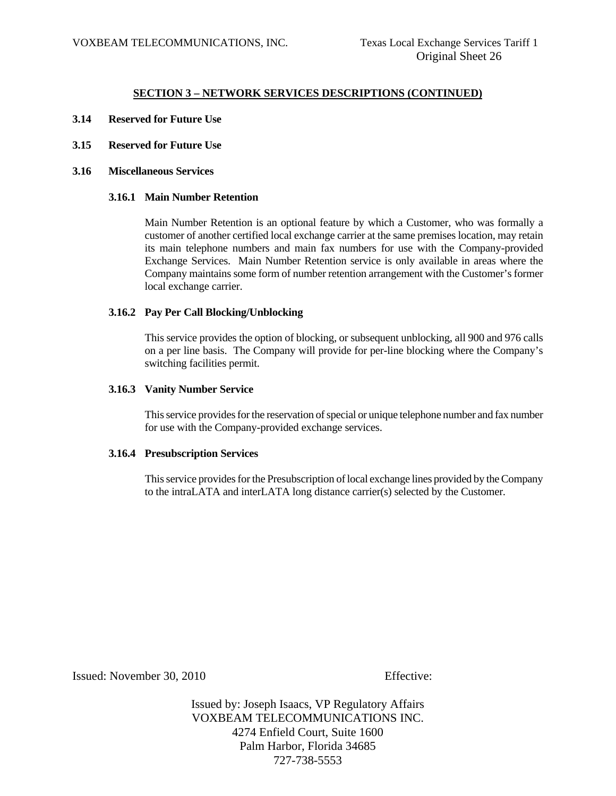- **3.14 Reserved for Future Use**
- **3.15 Reserved for Future Use**
- **3.16 Miscellaneous Services**

#### **3.16.1 Main Number Retention**

 Main Number Retention is an optional feature by which a Customer, who was formally a customer of another certified local exchange carrier at the same premises location, may retain its main telephone numbers and main fax numbers for use with the Company-provided Exchange Services. Main Number Retention service is only available in areas where the Company maintains some form of number retention arrangement with the Customer's former local exchange carrier.

#### **3.16.2 Pay Per Call Blocking/Unblocking**

 This service provides the option of blocking, or subsequent unblocking, all 900 and 976 calls on a per line basis. The Company will provide for per-line blocking where the Company's switching facilities permit.

#### **3.16.3 Vanity Number Service**

 This service provides for the reservation of special or unique telephone number and fax number for use with the Company-provided exchange services.

#### **3.16.4 Presubscription Services**

 This service provides for the Presubscription of local exchange lines provided by the Company to the intraLATA and interLATA long distance carrier(s) selected by the Customer.

Issued: November 30, 2010 Effective: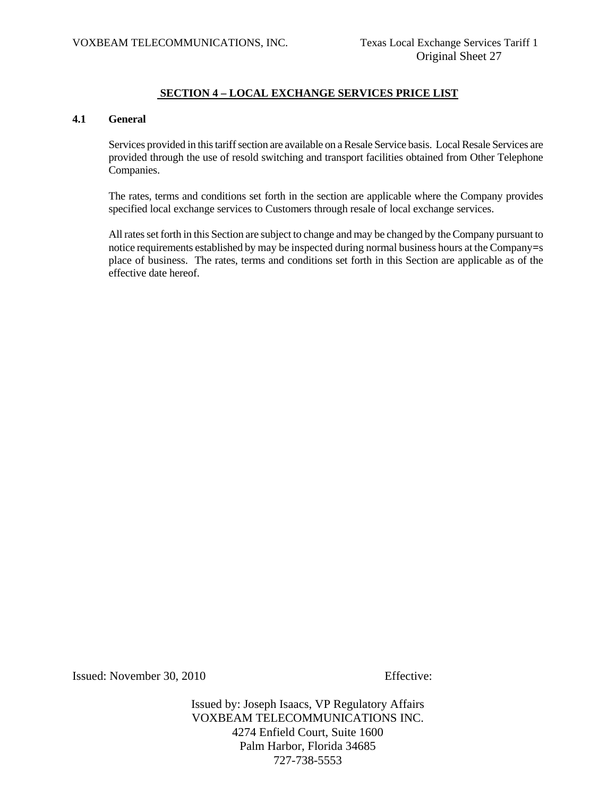# **SECTION 4 – LOCAL EXCHANGE SERVICES PRICE LIST**

#### **4.1 General**

 Services provided in this tariff section are available on a Resale Service basis. Local Resale Services are provided through the use of resold switching and transport facilities obtained from Other Telephone Companies.

 The rates, terms and conditions set forth in the section are applicable where the Company provides specified local exchange services to Customers through resale of local exchange services.

 All rates set forth in this Section are subject to change and may be changed by the Company pursuant to notice requirements established by may be inspected during normal business hours at the Company**=**s place of business. The rates, terms and conditions set forth in this Section are applicable as of the effective date hereof.

Issued: November 30, 2010 Effective: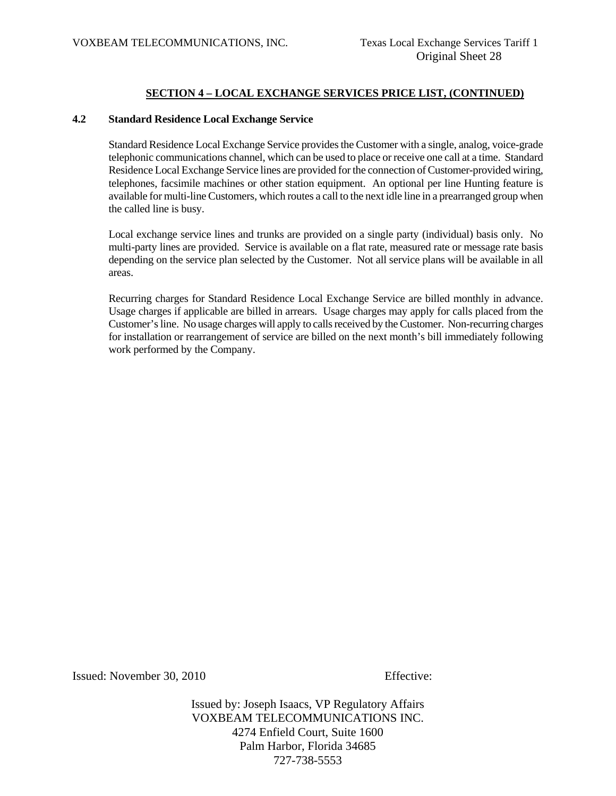#### **4.2 Standard Residence Local Exchange Service**

 Standard Residence Local Exchange Service provides the Customer with a single, analog, voice-grade telephonic communications channel, which can be used to place or receive one call at a time. Standard Residence Local Exchange Service lines are provided for the connection of Customer-provided wiring, telephones, facsimile machines or other station equipment. An optional per line Hunting feature is available for multi-line Customers, which routes a call to the next idle line in a prearranged group when the called line is busy.

 Local exchange service lines and trunks are provided on a single party (individual) basis only. No multi-party lines are provided. Service is available on a flat rate, measured rate or message rate basis depending on the service plan selected by the Customer. Not all service plans will be available in all areas.

 Recurring charges for Standard Residence Local Exchange Service are billed monthly in advance. Usage charges if applicable are billed in arrears. Usage charges may apply for calls placed from the Customer's line. No usage charges will apply to calls received by the Customer. Non-recurring charges for installation or rearrangement of service are billed on the next month's bill immediately following work performed by the Company.

Issued: November 30, 2010 Effective: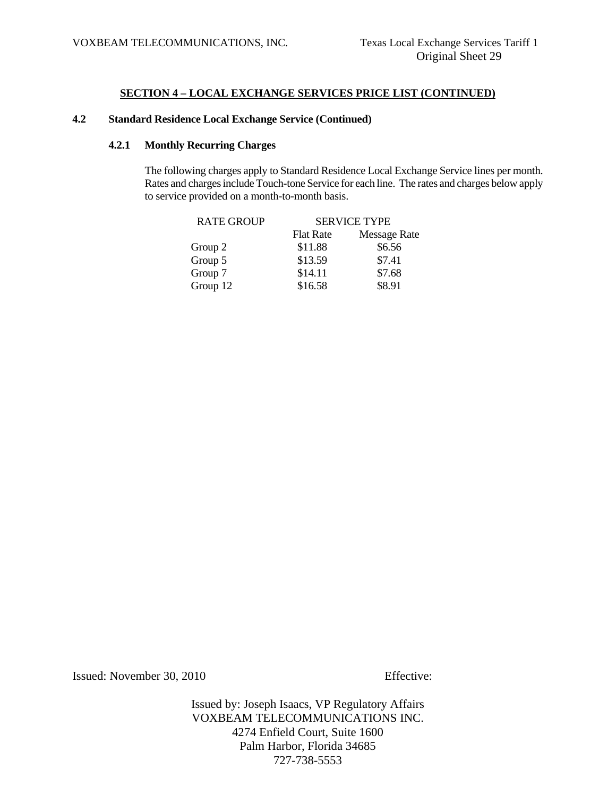# **4.2 Standard Residence Local Exchange Service (Continued)**

# **4.2.1 Monthly Recurring Charges**

 The following charges apply to Standard Residence Local Exchange Service lines per month. Rates and charges include Touch-tone Service for each line. The rates and charges below apply to service provided on a month-to-month basis.

| <b>SERVICE TYPE</b> |                     |
|---------------------|---------------------|
| <b>Flat Rate</b>    | <b>Message Rate</b> |
| \$11.88             | \$6.56              |
| \$13.59             | \$7.41              |
| \$14.11             | \$7.68              |
| \$16.58             | \$8.91              |
|                     |                     |

Issued: November 30, 2010 Effective: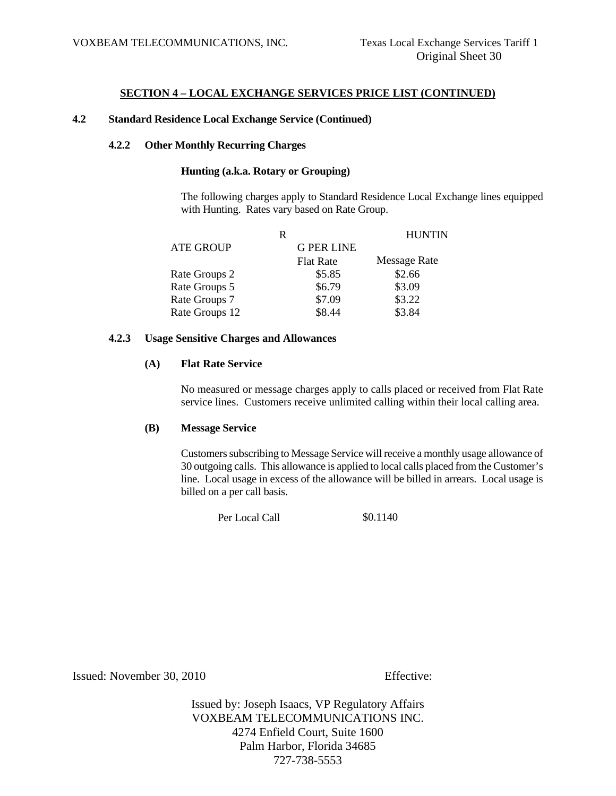## **4.2 Standard Residence Local Exchange Service (Continued)**

#### **4.2.2 Other Monthly Recurring Charges**

## **Hunting (a.k.a. Rotary or Grouping)**

 The following charges apply to Standard Residence Local Exchange lines equipped with Hunting. Rates vary based on Rate Group.

|                  | R                 | <b>HUNTIN</b>       |
|------------------|-------------------|---------------------|
| <b>ATE GROUP</b> | <b>G PER LINE</b> |                     |
|                  | <b>Flat Rate</b>  | <b>Message Rate</b> |
| Rate Groups 2    | \$5.85            | \$2.66              |
| Rate Groups 5    | \$6.79            | \$3.09              |
| Rate Groups 7    | \$7.09            | \$3.22              |
| Rate Groups 12   | \$8.44            | \$3.84              |

# **4.2.3 Usage Sensitive Charges and Allowances**

#### **(A) Flat Rate Service**

 No measured or message charges apply to calls placed or received from Flat Rate service lines. Customers receive unlimited calling within their local calling area.

## **(B) Message Service**

Customers subscribing to Message Service will receive a monthly usage allowance of 30 outgoing calls. This allowance is applied to local calls placed from the Customer's line. Local usage in excess of the allowance will be billed in arrears. Local usage is billed on a per call basis.

> \$0.1140 Per Local Call

Issued: November 30, 2010 Effective: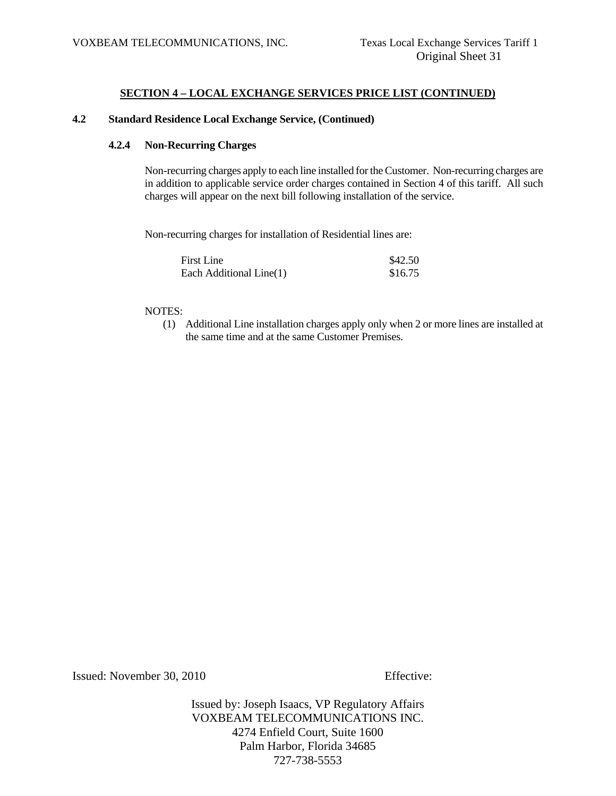## **4.2 Standard Residence Local Exchange Service, (Continued)**

## **4.2.4 Non-Recurring Charges**

 Non-recurring charges apply to each line installed for the Customer. Non-recurring charges are in addition to applicable service order charges contained in Section 4 of this tariff. All such charges will appear on the next bill following installation of the service.

Non-recurring charges for installation of Residential lines are:

| <b>First Line</b>       | \$42.50 |
|-------------------------|---------|
| Each Additional Line(1) | \$16.75 |

#### NOTES:

(1) Additional Line installation charges apply only when 2 or more lines are installed at the same time and at the same Customer Premises.

Issued: November 30, 2010 Effective: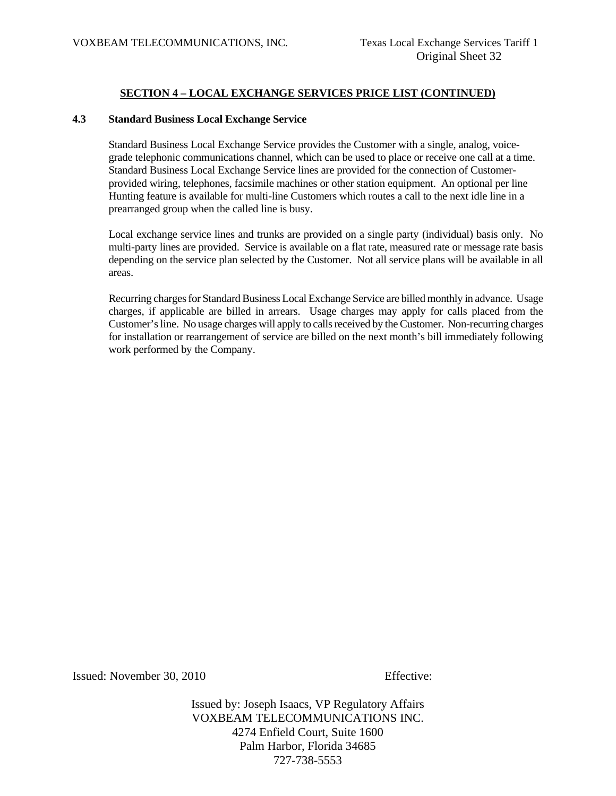## **4.3 Standard Business Local Exchange Service**

 Standard Business Local Exchange Service provides the Customer with a single, analog, voicegrade telephonic communications channel, which can be used to place or receive one call at a time. Standard Business Local Exchange Service lines are provided for the connection of Customerprovided wiring, telephones, facsimile machines or other station equipment. An optional per line Hunting feature is available for multi-line Customers which routes a call to the next idle line in a prearranged group when the called line is busy.

 Local exchange service lines and trunks are provided on a single party (individual) basis only. No multi-party lines are provided. Service is available on a flat rate, measured rate or message rate basis depending on the service plan selected by the Customer. Not all service plans will be available in all areas.

 Recurring charges for Standard Business Local Exchange Service are billed monthly in advance. Usage charges, if applicable are billed in arrears. Usage charges may apply for calls placed from the Customer's line. No usage charges will apply to calls received by the Customer. Non-recurring charges for installation or rearrangement of service are billed on the next month's bill immediately following work performed by the Company.

Issued: November 30, 2010 Effective: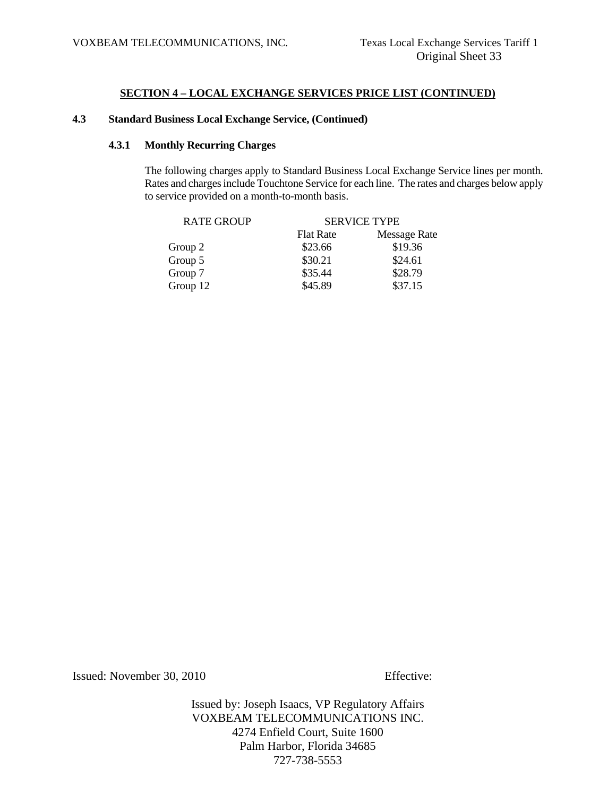# **4.3 Standard Business Local Exchange Service, (Continued)**

# **4.3.1 Monthly Recurring Charges**

 The following charges apply to Standard Business Local Exchange Service lines per month. Rates and charges include Touchtone Service for each line. The rates and charges below apply to service provided on a month-to-month basis.

| <b>RATE GROUP</b> | <b>SERVICE TYPE</b> |                     |  |
|-------------------|---------------------|---------------------|--|
|                   | <b>Flat Rate</b>    | <b>Message Rate</b> |  |
| Group 2           | \$23.66             | \$19.36             |  |
| Group 5           | \$30.21             | \$24.61             |  |
| Group 7           | \$35.44             | \$28.79             |  |
| Group 12          | \$45.89             | \$37.15             |  |
|                   |                     |                     |  |

Issued: November 30, 2010 Effective: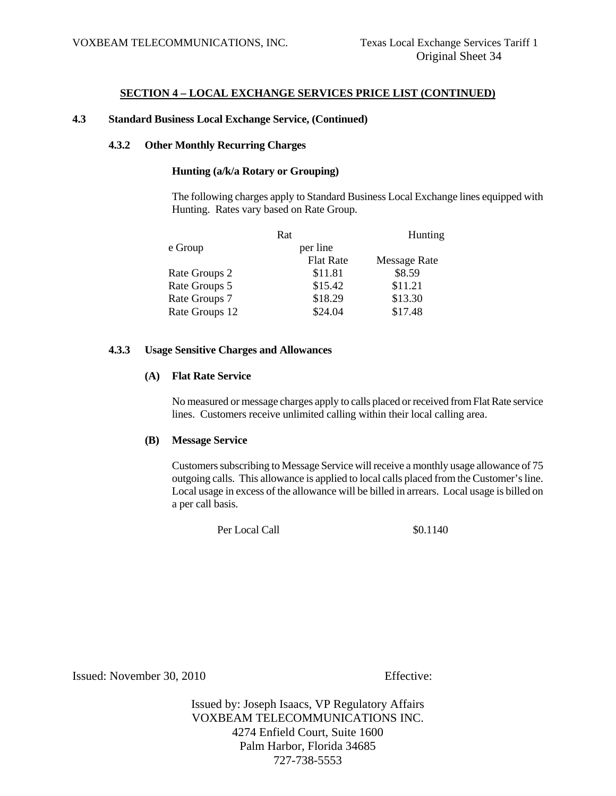## **4.3 Standard Business Local Exchange Service, (Continued)**

#### **4.3.2 Other Monthly Recurring Charges**

# **Hunting (a/k/a Rotary or Grouping)**

The following charges apply to Standard Business Local Exchange lines equipped with Hunting. Rates vary based on Rate Group.

|                | Rat              | Hunting             |
|----------------|------------------|---------------------|
| e Group        | per line         |                     |
|                | <b>Flat Rate</b> | <b>Message Rate</b> |
| Rate Groups 2  | \$11.81          | \$8.59              |
| Rate Groups 5  | \$15.42          | \$11.21             |
| Rate Groups 7  | \$18.29          | \$13.30             |
| Rate Groups 12 | \$24.04          | \$17.48             |

#### **4.3.3 Usage Sensitive Charges and Allowances**

## **(A) Flat Rate Service**

No measured or message charges apply to calls placed or received from Flat Rate service lines. Customers receive unlimited calling within their local calling area.

## **(B) Message Service**

Customers subscribing to Message Service will receive a monthly usage allowance of 75 outgoing calls. This allowance is applied to local calls placed from the Customer's line. Local usage in excess of the allowance will be billed in arrears. Local usage is billed on a per call basis.

Per Local Call  $\qquad$  \$0.1140

Issued: November 30, 2010 Effective: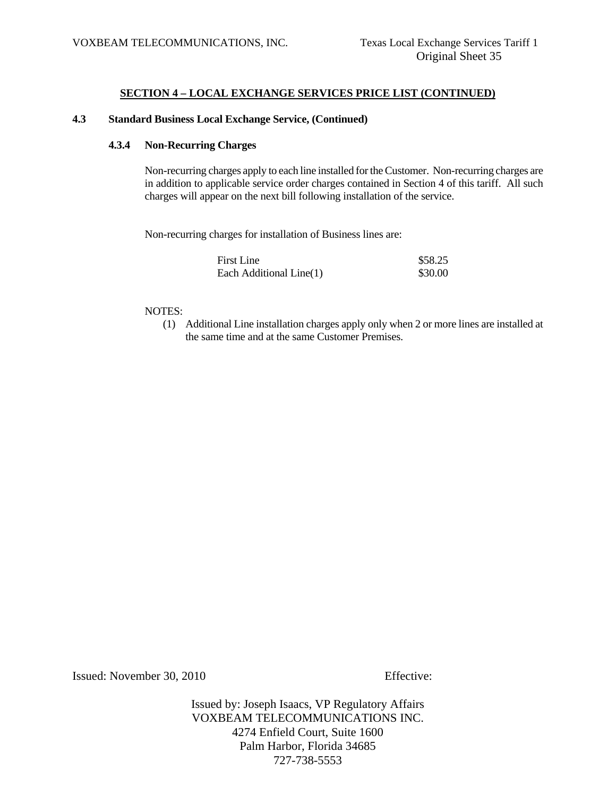## **4.3 Standard Business Local Exchange Service, (Continued)**

#### **4.3.4 Non-Recurring Charges**

 Non-recurring charges apply to each line installed for the Customer. Non-recurring charges are in addition to applicable service order charges contained in Section 4 of this tariff. All such charges will appear on the next bill following installation of the service.

Non-recurring charges for installation of Business lines are:

| First Line              | \$58.25 |
|-------------------------|---------|
| Each Additional Line(1) | \$30.00 |

#### NOTES:

(1) Additional Line installation charges apply only when 2 or more lines are installed at the same time and at the same Customer Premises.

Issued: November 30, 2010 Effective: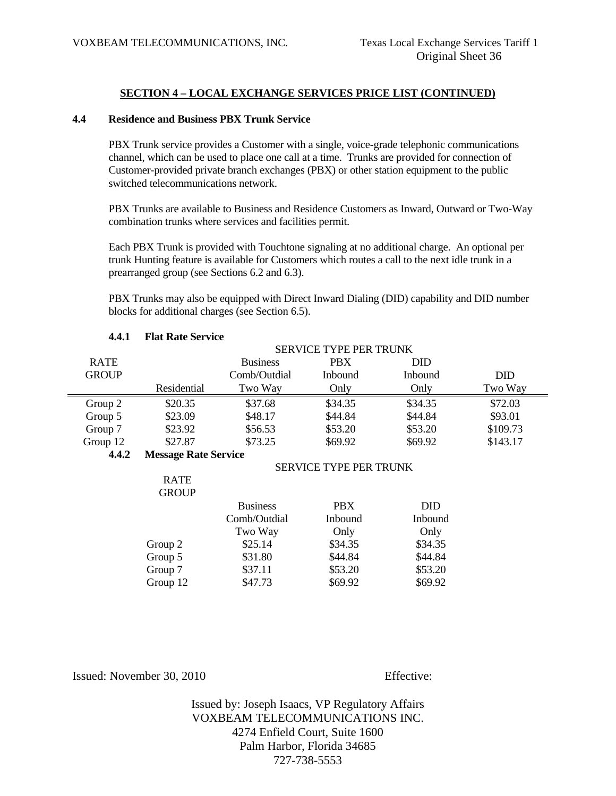## **4.4 Residence and Business PBX Trunk Service**

 PBX Trunk service provides a Customer with a single, voice-grade telephonic communications channel, which can be used to place one call at a time. Trunks are provided for connection of Customer-provided private branch exchanges (PBX) or other station equipment to the public switched telecommunications network.

 PBX Trunks are available to Business and Residence Customers as Inward, Outward or Two-Way combination trunks where services and facilities permit.

 Each PBX Trunk is provided with Touchtone signaling at no additional charge. An optional per trunk Hunting feature is available for Customers which routes a call to the next idle trunk in a prearranged group (see Sections 6.2 and 6.3).

 PBX Trunks may also be equipped with Direct Inward Dialing (DID) capability and DID number blocks for additional charges (see Section 6.5).

|              | <b>SERVICE TYPE PER TRUNK</b> |                 |            |            |            |
|--------------|-------------------------------|-----------------|------------|------------|------------|
| <b>RATE</b>  |                               | <b>Business</b> | <b>PBX</b> | <b>DID</b> |            |
| <b>GROUP</b> |                               | Comb/Outdial    | Inbound    | Inbound    | <b>DID</b> |
|              | Residential                   | Two Way         | Only       | Only       | Two Way    |
| Group 2      | \$20.35                       | \$37.68         | \$34.35    | \$34.35    | \$72.03    |
| Group 5      | \$23.09                       | \$48.17         | \$44.84    | \$44.84    | \$93.01    |
| Group 7      | \$23.92                       | \$56.53         | \$53.20    | \$53.20    | \$109.73   |
| Group 12     | \$27.87                       | \$73.25         | \$69.92    | \$69.92    | \$143.17   |
| 4.4.2        | <b>Message Rate Service</b>   |                 |            |            |            |
|              | <b>SERVICE TYPE PER TRUNK</b> |                 |            |            |            |
|              | <b>RATE</b>                   |                 |            |            |            |
|              | <b>GROUP</b>                  |                 |            |            |            |
|              |                               | <b>Business</b> | PBX        | <b>DID</b> |            |
|              |                               | Comb/Outdial    | Inbound    | Inbound    |            |
|              |                               | Two Way         | Only       | Only       |            |
|              | Group 2                       | \$25.14         | \$34.35    | \$34.35    |            |
|              | Group 5                       | \$31.80         | \$44.84    | \$44.84    |            |
|              | Group 7                       | \$37.11         | \$53.20    | \$53.20    |            |
|              | Group 12                      | \$47.73         | \$69.92    | \$69.92    |            |
|              |                               |                 |            |            |            |

#### **4.4.1 Flat Rate Service**

Issued: November 30, 2010 Effective: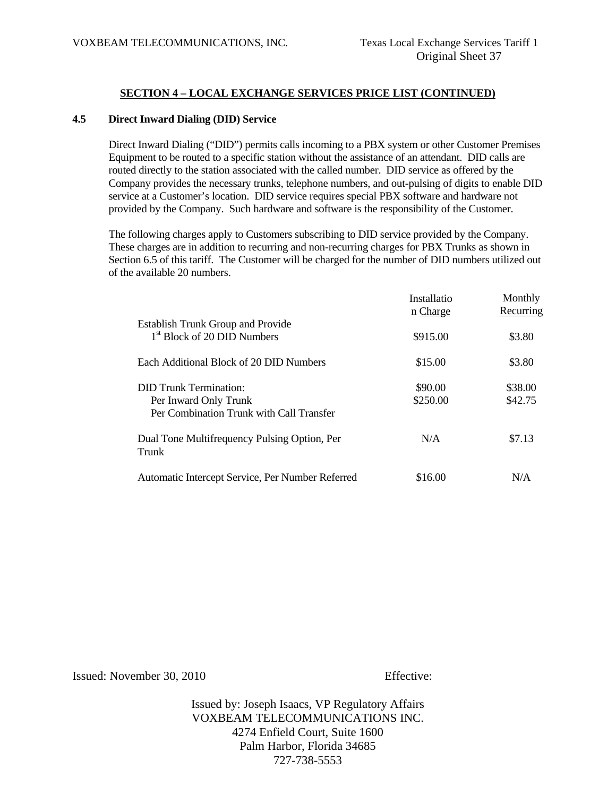#### **4.5 Direct Inward Dialing (DID) Service**

 Direct Inward Dialing ("DID") permits calls incoming to a PBX system or other Customer Premises Equipment to be routed to a specific station without the assistance of an attendant. DID calls are routed directly to the station associated with the called number. DID service as offered by the Company provides the necessary trunks, telephone numbers, and out-pulsing of digits to enable DID service at a Customer's location. DID service requires special PBX software and hardware not provided by the Company. Such hardware and software is the responsibility of the Customer.

 The following charges apply to Customers subscribing to DID service provided by the Company. These charges are in addition to recurring and non-recurring charges for PBX Trunks as shown in Section 6.5 of this tariff. The Customer will be charged for the number of DID numbers utilized out of the available 20 numbers.

|                                                       | Installatio<br>n Charge | Monthly<br>Recurring |
|-------------------------------------------------------|-------------------------|----------------------|
| <b>Establish Trunk Group and Provide</b>              |                         |                      |
| 1 <sup>st</sup> Block of 20 DID Numbers               | \$915.00                | \$3.80               |
| Each Additional Block of 20 DID Numbers               | \$15.00                 | \$3.80               |
| <b>DID Trunk Termination:</b>                         | \$90.00                 | \$38.00              |
| Per Inward Only Trunk                                 | \$250.00                | \$42.75              |
| Per Combination Trunk with Call Transfer              |                         |                      |
| Dual Tone Multifrequency Pulsing Option, Per<br>Trunk | N/A                     | \$7.13               |
| Automatic Intercept Service, Per Number Referred      | \$16.00                 | N/A                  |

Issued: November 30, 2010 Effective: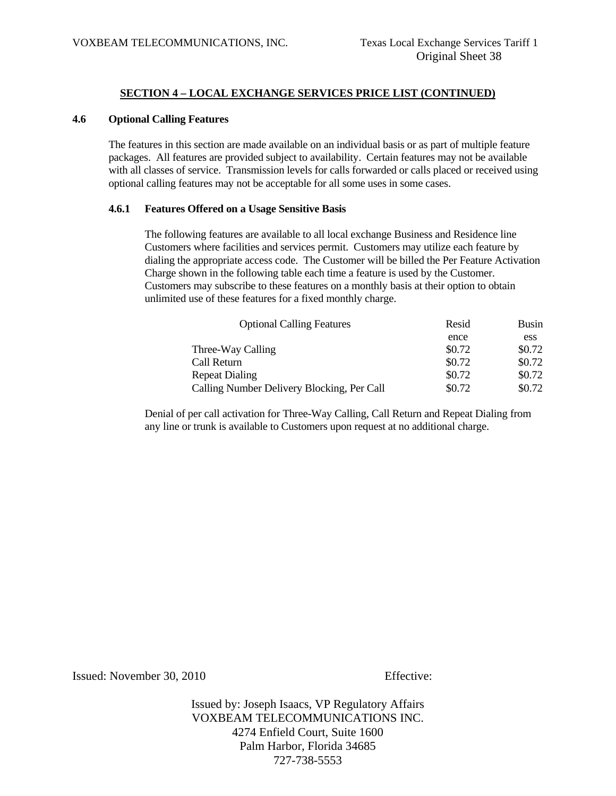## **4.6 Optional Calling Features**

 The features in this section are made available on an individual basis or as part of multiple feature packages. All features are provided subject to availability. Certain features may not be available with all classes of service. Transmission levels for calls forwarded or calls placed or received using optional calling features may not be acceptable for all some uses in some cases.

#### **4.6.1 Features Offered on a Usage Sensitive Basis**

 The following features are available to all local exchange Business and Residence line Customers where facilities and services permit. Customers may utilize each feature by dialing the appropriate access code. The Customer will be billed the Per Feature Activation Charge shown in the following table each time a feature is used by the Customer. Customers may subscribe to these features on a monthly basis at their option to obtain unlimited use of these features for a fixed monthly charge.

| <b>Optional Calling Features</b>           | Resid  | Busin  |
|--------------------------------------------|--------|--------|
|                                            | ence   | ess    |
| Three-Way Calling                          | \$0.72 | \$0.72 |
| Call Return                                | \$0.72 | \$0.72 |
| <b>Repeat Dialing</b>                      | \$0.72 | \$0.72 |
| Calling Number Delivery Blocking, Per Call | \$0.72 | \$0.72 |

 Denial of per call activation for Three-Way Calling, Call Return and Repeat Dialing from any line or trunk is available to Customers upon request at no additional charge.

Issued: November 30, 2010 Effective: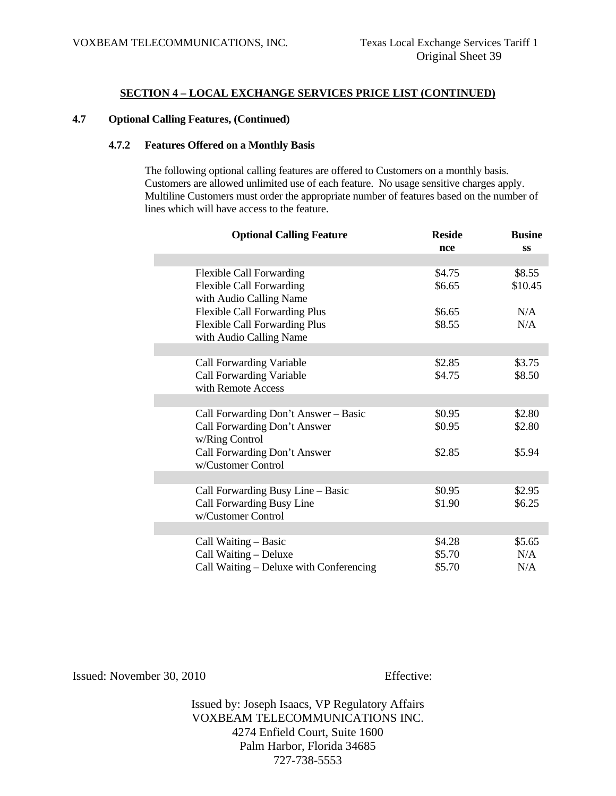## **4.7 Optional Calling Features, (Continued)**

# **4.7.2 Features Offered on a Monthly Basis**

 The following optional calling features are offered to Customers on a monthly basis. Customers are allowed unlimited use of each feature. No usage sensitive charges apply. Multiline Customers must order the appropriate number of features based on the number of lines which will have access to the feature.

| <b>Optional Calling Feature</b>         | <b>Reside</b> | <b>Busine</b> |
|-----------------------------------------|---------------|---------------|
|                                         | nce           | <b>SS</b>     |
|                                         |               |               |
| <b>Flexible Call Forwarding</b>         | \$4.75        | \$8.55        |
| <b>Flexible Call Forwarding</b>         | \$6.65        | \$10.45       |
| with Audio Calling Name                 |               |               |
| <b>Flexible Call Forwarding Plus</b>    | \$6.65        | N/A           |
| <b>Flexible Call Forwarding Plus</b>    | \$8.55        | N/A           |
| with Audio Calling Name                 |               |               |
|                                         |               |               |
| <b>Call Forwarding Variable</b>         | \$2.85        | \$3.75        |
| <b>Call Forwarding Variable</b>         | \$4.75        | \$8.50        |
| with Remote Access                      |               |               |
|                                         |               |               |
| Call Forwarding Don't Answer – Basic    | \$0.95        | \$2.80        |
| Call Forwarding Don't Answer            | \$0.95        | \$2.80        |
| w/Ring Control                          |               |               |
| Call Forwarding Don't Answer            | \$2.85        | \$5.94        |
| w/Customer Control                      |               |               |
| Call Forwarding Busy Line – Basic       | \$0.95        | \$2.95        |
| Call Forwarding Busy Line               | \$1.90        | \$6.25        |
| w/Customer Control                      |               |               |
|                                         |               |               |
| Call Waiting – Basic                    | \$4.28        | \$5.65        |
| Call Waiting - Deluxe                   | \$5.70        | N/A           |
| Call Waiting – Deluxe with Conferencing | \$5.70        | N/A           |

Issued: November 30, 2010 Effective: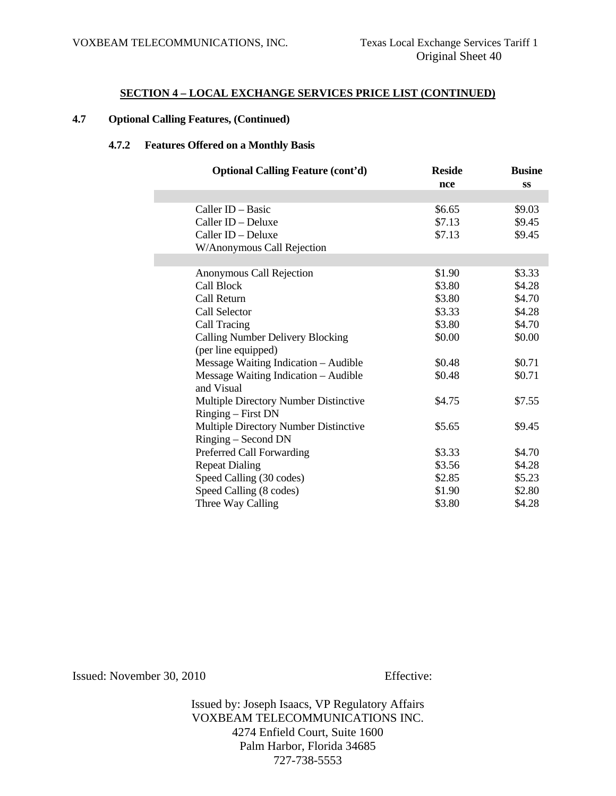# **4.7 Optional Calling Features, (Continued)**

## **4.7.2 Features Offered on a Monthly Basis**

| <b>Optional Calling Feature (cont'd)</b> | <b>Reside</b> | <b>Busine</b> |
|------------------------------------------|---------------|---------------|
|                                          | nce           | <b>SS</b>     |
|                                          |               |               |
| Caller ID - Basic                        | \$6.65        | \$9.03        |
| Caller ID - Deluxe                       | \$7.13        | \$9.45        |
| Caller ID - Deluxe                       | \$7.13        | \$9.45        |
| W/Anonymous Call Rejection               |               |               |
|                                          |               |               |
| Anonymous Call Rejection                 | \$1.90        | \$3.33        |
| Call Block                               | \$3.80        | \$4.28        |
| Call Return                              | \$3.80        | \$4.70        |
| Call Selector                            | \$3.33        | \$4.28        |
| Call Tracing                             | \$3.80        | \$4.70        |
| <b>Calling Number Delivery Blocking</b>  | \$0.00        | \$0.00        |
| (per line equipped)                      |               |               |
| Message Waiting Indication - Audible     | \$0.48        | \$0.71        |
| Message Waiting Indication – Audible     | \$0.48        | \$0.71        |
| and Visual                               |               |               |
| Multiple Directory Number Distinctive    | \$4.75        | \$7.55        |
| Ringing – First DN                       |               |               |
| Multiple Directory Number Distinctive    | \$5.65        | \$9.45        |
| Ringing – Second DN                      |               |               |
| Preferred Call Forwarding                | \$3.33        | \$4.70        |
| <b>Repeat Dialing</b>                    | \$3.56        | \$4.28        |
| Speed Calling (30 codes)                 | \$2.85        | \$5.23        |
| Speed Calling (8 codes)                  | \$1.90        | \$2.80        |
| Three Way Calling                        | \$3.80        | \$4.28        |
|                                          |               |               |

Issued: November 30, 2010 Effective: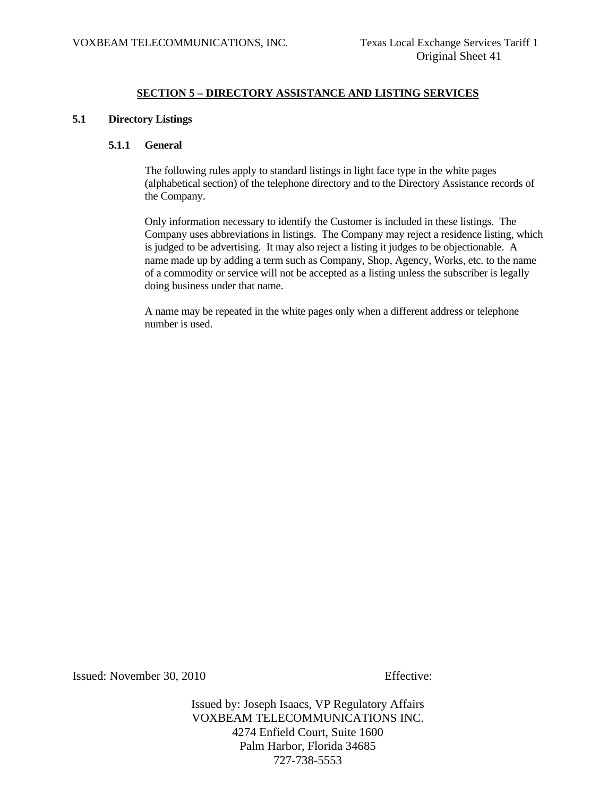# **SECTION 5 – DIRECTORY ASSISTANCE AND LISTING SERVICES**

# **5.1 Directory Listings**

#### **5.1.1 General**

 The following rules apply to standard listings in light face type in the white pages (alphabetical section) of the telephone directory and to the Directory Assistance records of the Company.

 Only information necessary to identify the Customer is included in these listings. The Company uses abbreviations in listings. The Company may reject a residence listing, which is judged to be advertising. It may also reject a listing it judges to be objectionable. A name made up by adding a term such as Company, Shop, Agency, Works, etc. to the name of a commodity or service will not be accepted as a listing unless the subscriber is legally doing business under that name.

 A name may be repeated in the white pages only when a different address or telephone number is used.

Issued: November 30, 2010 Effective: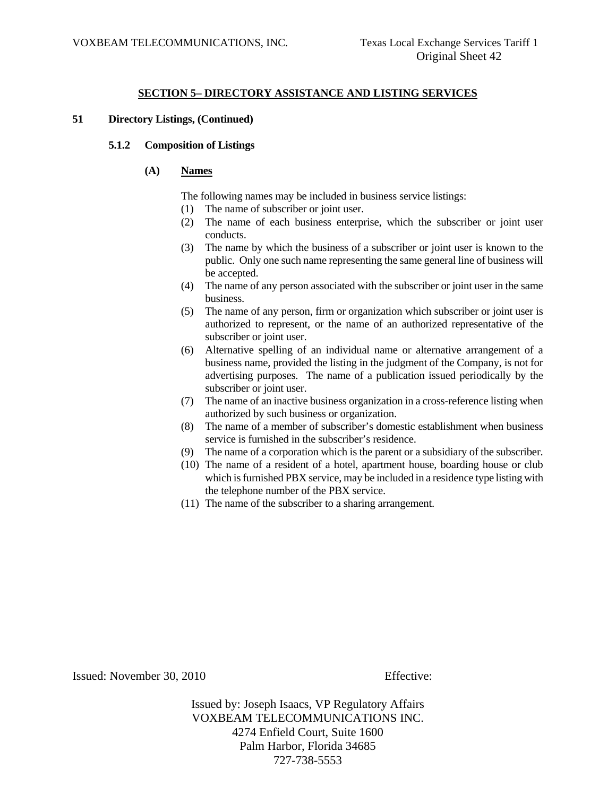# **SECTION 5– DIRECTORY ASSISTANCE AND LISTING SERVICES**

## **51 Directory Listings, (Continued)**

#### **5.1.2 Composition of Listings**

## **(A) Names**

The following names may be included in business service listings:

- (1) The name of subscriber or joint user.
- (2) The name of each business enterprise, which the subscriber or joint user conducts.
- (3) The name by which the business of a subscriber or joint user is known to the public. Only one such name representing the same general line of business will be accepted.
- (4) The name of any person associated with the subscriber or joint user in the same business.
- (5) The name of any person, firm or organization which subscriber or joint user is authorized to represent, or the name of an authorized representative of the subscriber or joint user.
- (6) Alternative spelling of an individual name or alternative arrangement of a business name, provided the listing in the judgment of the Company, is not for advertising purposes. The name of a publication issued periodically by the subscriber or joint user.
- (7) The name of an inactive business organization in a cross-reference listing when authorized by such business or organization.
- (8) The name of a member of subscriber's domestic establishment when business service is furnished in the subscriber's residence.
- (9) The name of a corporation which is the parent or a subsidiary of the subscriber.
- (10) The name of a resident of a hotel, apartment house, boarding house or club which is furnished PBX service, may be included in a residence type listing with the telephone number of the PBX service.
- (11) The name of the subscriber to a sharing arrangement.

Issued: November 30, 2010 Effective: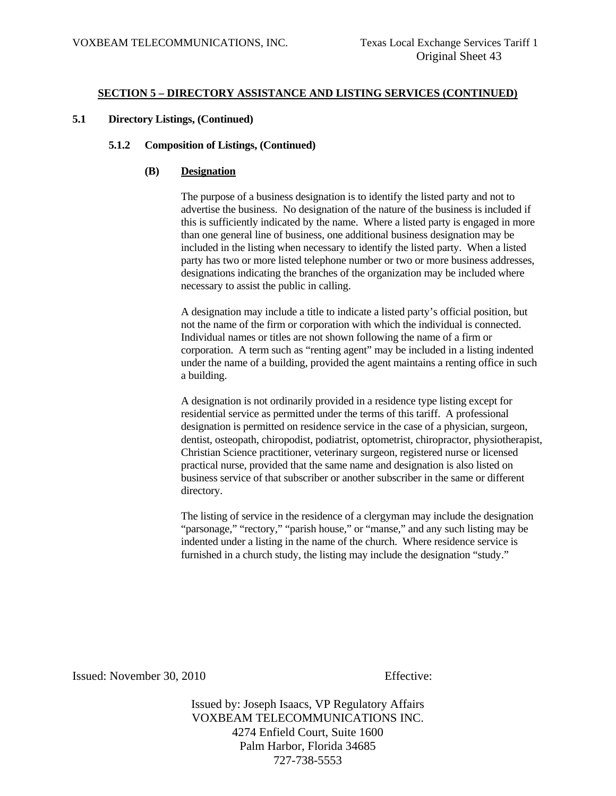## **5.1 Directory Listings, (Continued)**

# **5.1.2 Composition of Listings, (Continued)**

# **(B) Designation**

 The purpose of a business designation is to identify the listed party and not to advertise the business. No designation of the nature of the business is included if this is sufficiently indicated by the name. Where a listed party is engaged in more than one general line of business, one additional business designation may be included in the listing when necessary to identify the listed party. When a listed party has two or more listed telephone number or two or more business addresses, designations indicating the branches of the organization may be included where necessary to assist the public in calling.

 A designation may include a title to indicate a listed party's official position, but not the name of the firm or corporation with which the individual is connected. Individual names or titles are not shown following the name of a firm or corporation. A term such as "renting agent" may be included in a listing indented under the name of a building, provided the agent maintains a renting office in such a building.

 A designation is not ordinarily provided in a residence type listing except for residential service as permitted under the terms of this tariff. A professional designation is permitted on residence service in the case of a physician, surgeon, dentist, osteopath, chiropodist, podiatrist, optometrist, chiropractor, physiotherapist, Christian Science practitioner, veterinary surgeon, registered nurse or licensed practical nurse, provided that the same name and designation is also listed on business service of that subscriber or another subscriber in the same or different directory.

 The listing of service in the residence of a clergyman may include the designation "parsonage," "rectory," "parish house," or "manse," and any such listing may be indented under a listing in the name of the church. Where residence service is furnished in a church study, the listing may include the designation "study."

Issued: November 30, 2010 Effective: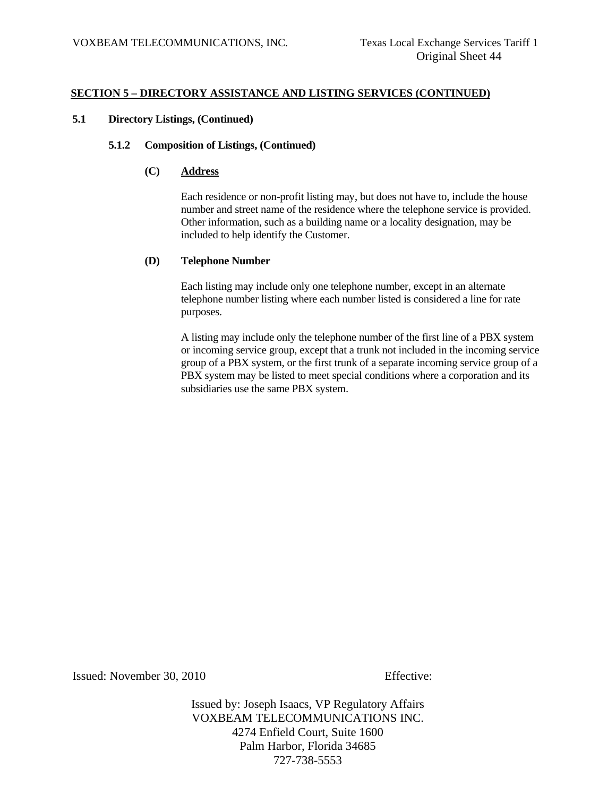# **5.1 Directory Listings, (Continued)**

## **5.1.2 Composition of Listings, (Continued)**

# **(C) Address**

 Each residence or non-profit listing may, but does not have to, include the house number and street name of the residence where the telephone service is provided. Other information, such as a building name or a locality designation, may be included to help identify the Customer.

## **(D) Telephone Number**

 Each listing may include only one telephone number, except in an alternate telephone number listing where each number listed is considered a line for rate purposes.

 A listing may include only the telephone number of the first line of a PBX system or incoming service group, except that a trunk not included in the incoming service group of a PBX system, or the first trunk of a separate incoming service group of a PBX system may be listed to meet special conditions where a corporation and its subsidiaries use the same PBX system.

Issued: November 30, 2010 Effective: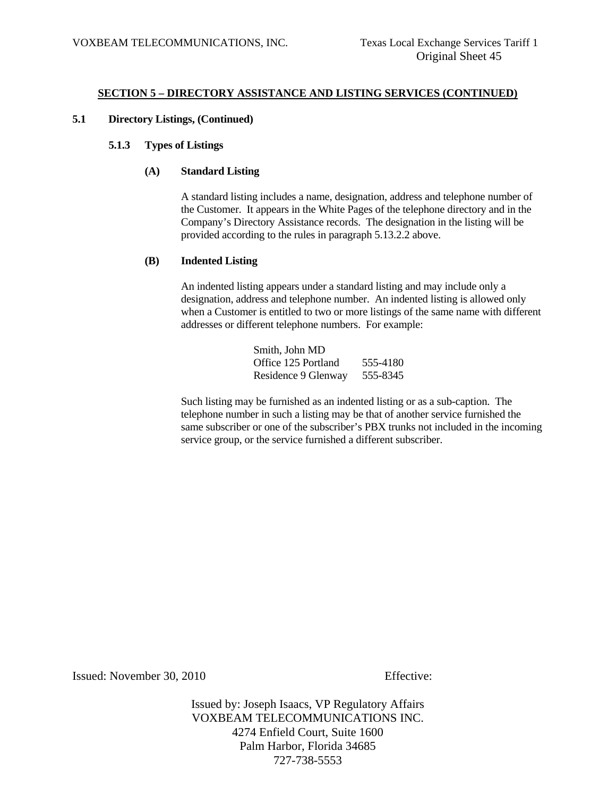# **5.1 Directory Listings, (Continued)**

# **5.1.3 Types of Listings**

# **(A) Standard Listing**

 A standard listing includes a name, designation, address and telephone number of the Customer. It appears in the White Pages of the telephone directory and in the Company's Directory Assistance records. The designation in the listing will be provided according to the rules in paragraph 5.13.2.2 above.

## **(B) Indented Listing**

 An indented listing appears under a standard listing and may include only a designation, address and telephone number. An indented listing is allowed only when a Customer is entitled to two or more listings of the same name with different addresses or different telephone numbers. For example:

| Smith, John MD      |          |
|---------------------|----------|
| Office 125 Portland | 555-4180 |
| Residence 9 Glenway | 555-8345 |

 Such listing may be furnished as an indented listing or as a sub-caption. The telephone number in such a listing may be that of another service furnished the same subscriber or one of the subscriber's PBX trunks not included in the incoming service group, or the service furnished a different subscriber.

Issued: November 30, 2010 Effective: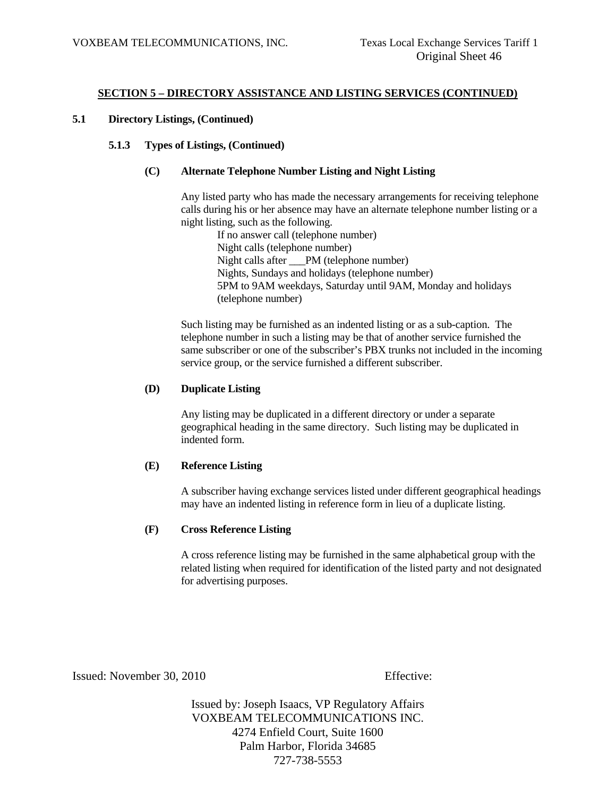# **5.1 Directory Listings, (Continued)**

# **5.1.3 Types of Listings, (Continued)**

## **(C) Alternate Telephone Number Listing and Night Listing**

 Any listed party who has made the necessary arrangements for receiving telephone calls during his or her absence may have an alternate telephone number listing or a night listing, such as the following.

 If no answer call (telephone number) Night calls (telephone number) Night calls after PM (telephone number) Nights, Sundays and holidays (telephone number) 5PM to 9AM weekdays, Saturday until 9AM, Monday and holidays (telephone number)

 Such listing may be furnished as an indented listing or as a sub-caption. The telephone number in such a listing may be that of another service furnished the same subscriber or one of the subscriber's PBX trunks not included in the incoming service group, or the service furnished a different subscriber.

#### **(D) Duplicate Listing**

 Any listing may be duplicated in a different directory or under a separate geographical heading in the same directory. Such listing may be duplicated in indented form.

## **(E) Reference Listing**

 A subscriber having exchange services listed under different geographical headings may have an indented listing in reference form in lieu of a duplicate listing.

## **(F) Cross Reference Listing**

 A cross reference listing may be furnished in the same alphabetical group with the related listing when required for identification of the listed party and not designated for advertising purposes.

Issued: November 30, 2010 Effective: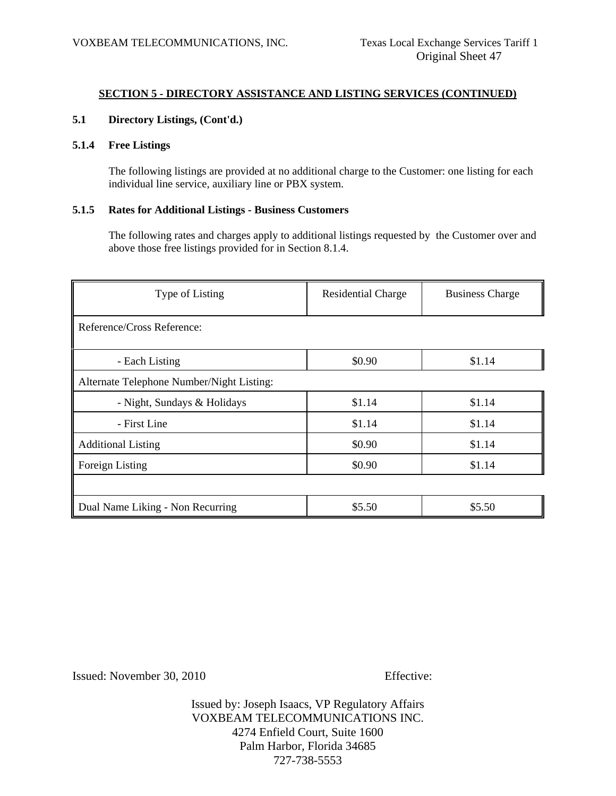# **5.1 Directory Listings, (Cont'd.)**

# **5.1.4 Free Listings**

 The following listings are provided at no additional charge to the Customer: one listing for each individual line service, auxiliary line or PBX system.

## **5.1.5 Rates for Additional Listings - Business Customers**

 The following rates and charges apply to additional listings requested by the Customer over and above those free listings provided for in Section 8.1.4.

| Type of Listing                           | <b>Residential Charge</b> | <b>Business Charge</b> |
|-------------------------------------------|---------------------------|------------------------|
| Reference/Cross Reference:                |                           |                        |
| - Each Listing                            | \$0.90                    | \$1.14                 |
| Alternate Telephone Number/Night Listing: |                           |                        |
| - Night, Sundays & Holidays               | \$1.14                    | \$1.14                 |
| - First Line                              | \$1.14                    | \$1.14                 |
| <b>Additional Listing</b>                 | \$0.90                    | \$1.14                 |
| Foreign Listing                           | \$0.90                    | \$1.14                 |
|                                           |                           |                        |
| Dual Name Liking - Non Recurring          | \$5.50                    | \$5.50                 |

Issued: November 30, 2010 Effective: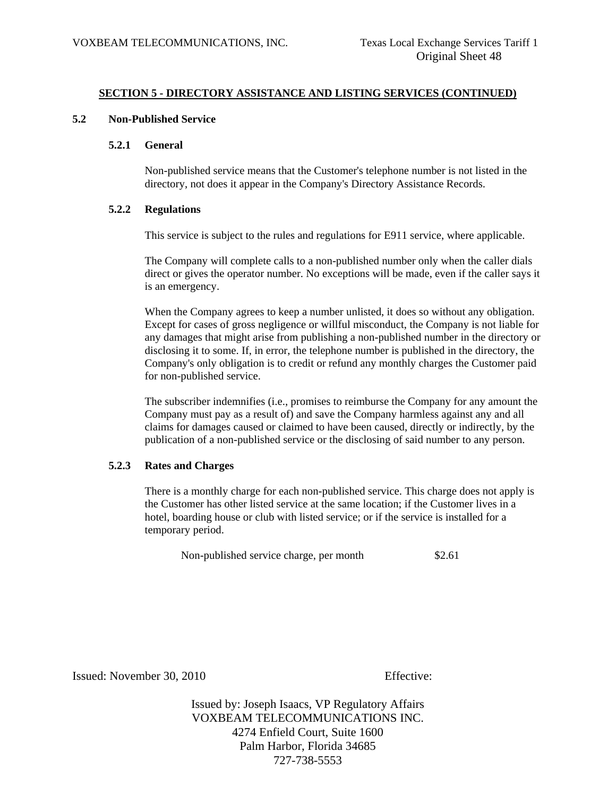#### **5.2 Non-Published Service**

#### **5.2.1 General**

 Non-published service means that the Customer's telephone number is not listed in the directory, not does it appear in the Company's Directory Assistance Records.

#### **5.2.2 Regulations**

This service is subject to the rules and regulations for E911 service, where applicable.

 The Company will complete calls to a non-published number only when the caller dials direct or gives the operator number. No exceptions will be made, even if the caller says it is an emergency.

 When the Company agrees to keep a number unlisted, it does so without any obligation. Except for cases of gross negligence or willful misconduct, the Company is not liable for any damages that might arise from publishing a non-published number in the directory or disclosing it to some. If, in error, the telephone number is published in the directory, the Company's only obligation is to credit or refund any monthly charges the Customer paid for non-published service.

 The subscriber indemnifies (i.e., promises to reimburse the Company for any amount the Company must pay as a result of) and save the Company harmless against any and all claims for damages caused or claimed to have been caused, directly or indirectly, by the publication of a non-published service or the disclosing of said number to any person.

## **5.2.3 Rates and Charges**

 There is a monthly charge for each non-published service. This charge does not apply is the Customer has other listed service at the same location; if the Customer lives in a hotel, boarding house or club with listed service; or if the service is installed for a temporary period.

Non-published service charge, per month \$2.61

Issued: November 30, 2010 Effective: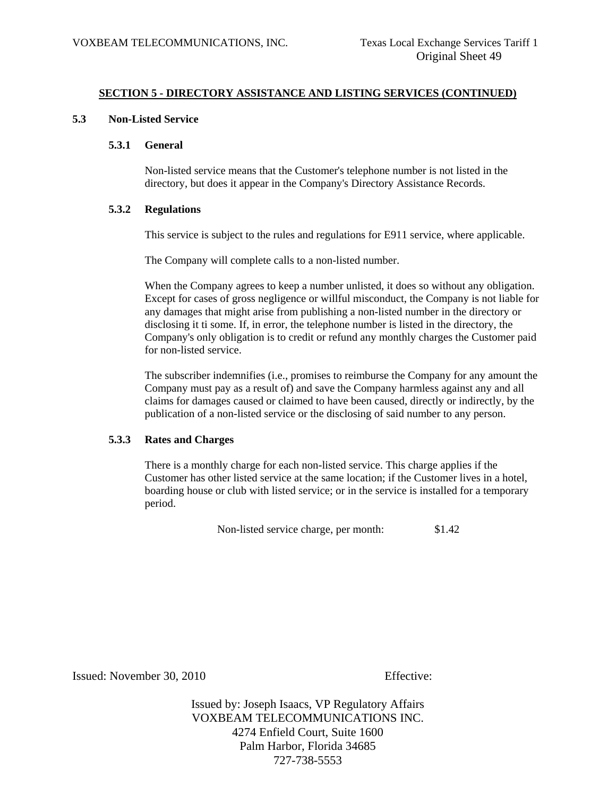## **5.3 Non-Listed Service**

#### **5.3.1 General**

 Non-listed service means that the Customer's telephone number is not listed in the directory, but does it appear in the Company's Directory Assistance Records.

## **5.3.2 Regulations**

This service is subject to the rules and regulations for E911 service, where applicable.

The Company will complete calls to a non-listed number.

When the Company agrees to keep a number unlisted, it does so without any obligation. Except for cases of gross negligence or willful misconduct, the Company is not liable for any damages that might arise from publishing a non-listed number in the directory or disclosing it ti some. If, in error, the telephone number is listed in the directory, the Company's only obligation is to credit or refund any monthly charges the Customer paid for non-listed service.

 The subscriber indemnifies (i.e., promises to reimburse the Company for any amount the Company must pay as a result of) and save the Company harmless against any and all claims for damages caused or claimed to have been caused, directly or indirectly, by the publication of a non-listed service or the disclosing of said number to any person.

## **5.3.3 Rates and Charges**

 There is a monthly charge for each non-listed service. This charge applies if the Customer has other listed service at the same location; if the Customer lives in a hotel, boarding house or club with listed service; or in the service is installed for a temporary period.

Non-listed service charge, per month: \$1.42

Issued: November 30, 2010 Effective: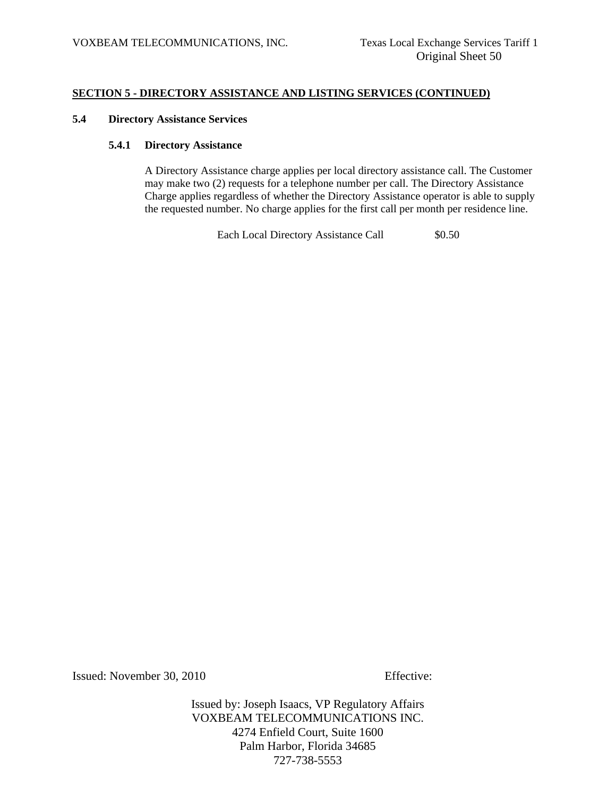#### **5.4 Directory Assistance Services**

#### **5.4.1 Directory Assistance**

 A Directory Assistance charge applies per local directory assistance call. The Customer may make two (2) requests for a telephone number per call. The Directory Assistance Charge applies regardless of whether the Directory Assistance operator is able to supply the requested number. No charge applies for the first call per month per residence line.

Each Local Directory Assistance Call  $$0.50$ 

Issued: November 30, 2010 Effective: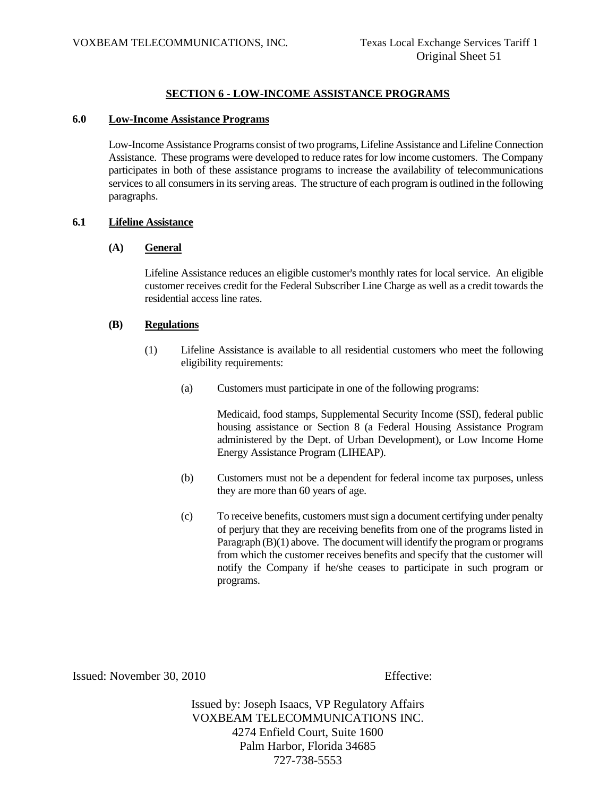# **SECTION 6 - LOW-INCOME ASSISTANCE PROGRAMS**

## **6.0 Low-Income Assistance Programs**

Low-Income Assistance Programs consist of two programs, Lifeline Assistance and Lifeline Connection Assistance. These programs were developed to reduce rates for low income customers. The Company participates in both of these assistance programs to increase the availability of telecommunications services to all consumers in its serving areas. The structure of each program is outlined in the following paragraphs.

## **6.1 Lifeline Assistance**

#### **(A) General**

Lifeline Assistance reduces an eligible customer's monthly rates for local service. An eligible customer receives credit for the Federal Subscriber Line Charge as well as a credit towards the residential access line rates.

#### **(B) Regulations**

- (1) Lifeline Assistance is available to all residential customers who meet the following eligibility requirements:
	- (a) Customers must participate in one of the following programs:

Medicaid, food stamps, Supplemental Security Income (SSI), federal public housing assistance or Section 8 (a Federal Housing Assistance Program administered by the Dept. of Urban Development), or Low Income Home Energy Assistance Program (LIHEAP).

- (b) Customers must not be a dependent for federal income tax purposes, unless they are more than 60 years of age.
- (c) To receive benefits, customers must sign a document certifying under penalty of perjury that they are receiving benefits from one of the programs listed in Paragraph (B)(1) above. The document will identify the program or programs from which the customer receives benefits and specify that the customer will notify the Company if he/she ceases to participate in such program or programs.

Issued: November 30, 2010 Effective: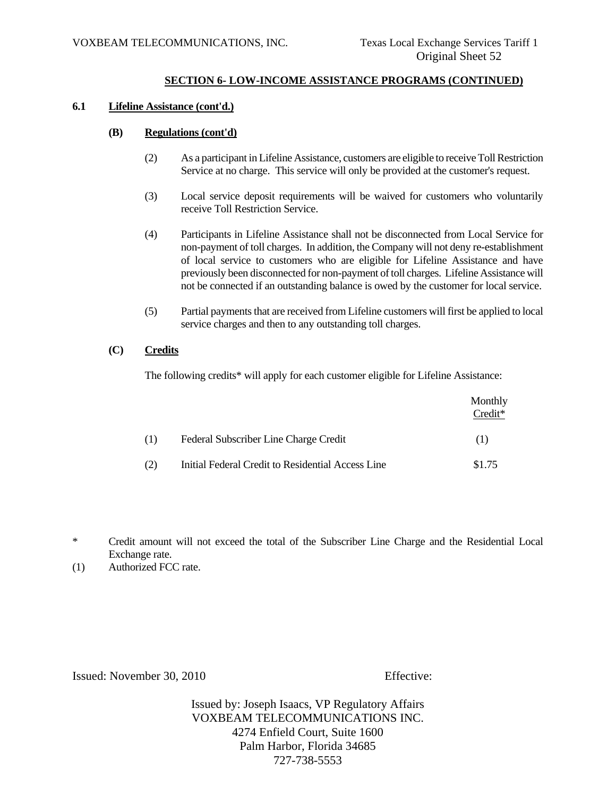# **SECTION 6- LOW-INCOME ASSISTANCE PROGRAMS (CONTINUED)**

#### **6.1 Lifeline Assistance (cont'd.)**

## **(B) Regulations (cont'd)**

- (2) As a participant in Lifeline Assistance, customers are eligible to receive Toll Restriction Service at no charge. This service will only be provided at the customer's request.
- (3) Local service deposit requirements will be waived for customers who voluntarily receive Toll Restriction Service.
- (4) Participants in Lifeline Assistance shall not be disconnected from Local Service for non-payment of toll charges. In addition, the Company will not deny re-establishment of local service to customers who are eligible for Lifeline Assistance and have previously been disconnected for non-payment of toll charges. Lifeline Assistance will not be connected if an outstanding balance is owed by the customer for local service.
- (5) Partial payments that are received from Lifeline customers will first be applied to local service charges and then to any outstanding toll charges.

## **(C) Credits**

The following credits\* will apply for each customer eligible for Lifeline Assistance:

|     |                                                   | Monthly<br>$Credit*$ |
|-----|---------------------------------------------------|----------------------|
| (1) | Federal Subscriber Line Charge Credit             | (1)                  |
| (2) | Initial Federal Credit to Residential Access Line | \$1.75               |

\* Credit amount will not exceed the total of the Subscriber Line Charge and the Residential Local Exchange rate.

Issued: November 30, 2010 Effective:

<sup>(1)</sup> Authorized FCC rate.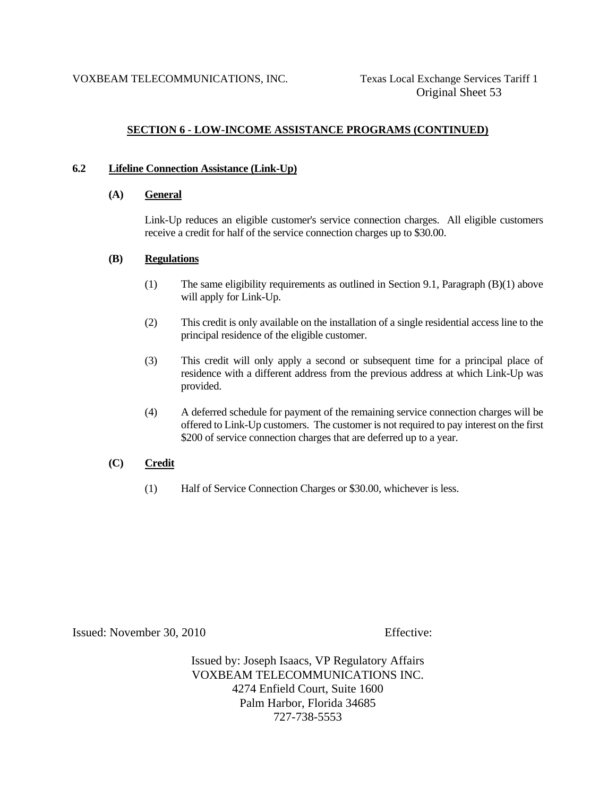# **SECTION 6 - LOW-INCOME ASSISTANCE PROGRAMS (CONTINUED)**

## **6.2 Lifeline Connection Assistance (Link-Up)**

## **(A) General**

Link-Up reduces an eligible customer's service connection charges. All eligible customers receive a credit for half of the service connection charges up to \$30.00.

#### **(B) Regulations**

- (1) The same eligibility requirements as outlined in Section 9.1, Paragraph (B)(1) above will apply for Link-Up.
- (2) This credit is only available on the installation of a single residential access line to the principal residence of the eligible customer.
- (3) This credit will only apply a second or subsequent time for a principal place of residence with a different address from the previous address at which Link-Up was provided.
- (4) A deferred schedule for payment of the remaining service connection charges will be offered to Link-Up customers. The customer is not required to pay interest on the first \$200 of service connection charges that are deferred up to a year.

## **(C) Credit**

(1) Half of Service Connection Charges or \$30.00, whichever is less.

Issued: November 30, 2010 Effective: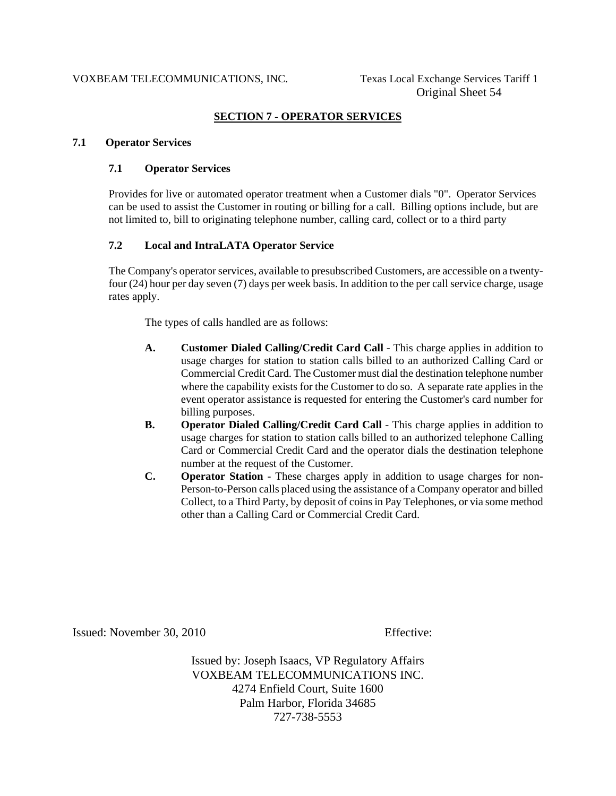# **SECTION 7 - OPERATOR SERVICES**

#### **7.1 Operator Services**

## **7.1 Operator Services**

Provides for live or automated operator treatment when a Customer dials "0". Operator Services can be used to assist the Customer in routing or billing for a call. Billing options include, but are not limited to, bill to originating telephone number, calling card, collect or to a third party

# **7.2 Local and IntraLATA Operator Service**

The Company's operator services, available to presubscribed Customers, are accessible on a twentyfour (24) hour per day seven (7) days per week basis. In addition to the per call service charge, usage rates apply.

The types of calls handled are as follows:

- **A. Customer Dialed Calling/Credit Card Call** This charge applies in addition to usage charges for station to station calls billed to an authorized Calling Card or Commercial Credit Card. The Customer must dial the destination telephone number where the capability exists for the Customer to do so. A separate rate applies in the event operator assistance is requested for entering the Customer's card number for billing purposes.
- **B.** Operator Dialed Calling/Credit Card Call This charge applies in addition to usage charges for station to station calls billed to an authorized telephone Calling Card or Commercial Credit Card and the operator dials the destination telephone number at the request of the Customer.
- **C. Operator Station** These charges apply in addition to usage charges for non-Person-to-Person calls placed using the assistance of a Company operator and billed Collect, to a Third Party, by deposit of coins in Pay Telephones, or via some method other than a Calling Card or Commercial Credit Card.

Issued: November 30, 2010 Effective: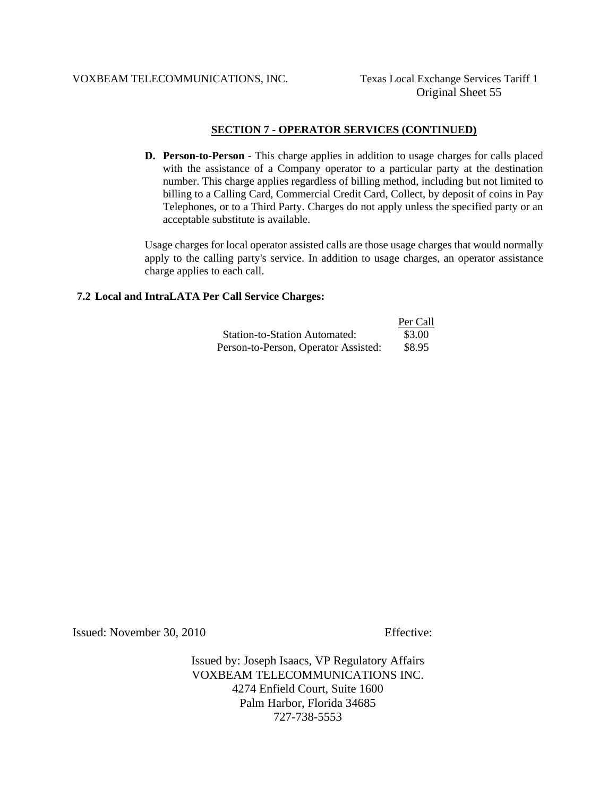#### VOXBEAM TELECOMMUNICATIONS, INC. Texas Local Exchange Services Tariff 1

## **SECTION 7 - OPERATOR SERVICES (CONTINUED)**

**D. Person-to-Person** - This charge applies in addition to usage charges for calls placed with the assistance of a Company operator to a particular party at the destination number. This charge applies regardless of billing method, including but not limited to billing to a Calling Card, Commercial Credit Card, Collect, by deposit of coins in Pay Telephones, or to a Third Party. Charges do not apply unless the specified party or an acceptable substitute is available.

Usage charges for local operator assisted calls are those usage charges that would normally apply to the calling party's service. In addition to usage charges, an operator assistance charge applies to each call.

## **7.2 Local and IntraLATA Per Call Service Charges:**

|                                      | Per Call |
|--------------------------------------|----------|
| <b>Station-to-Station Automated:</b> | \$3.00   |
| Person-to-Person, Operator Assisted: | \$8.95   |

Issued: November 30, 2010 Effective: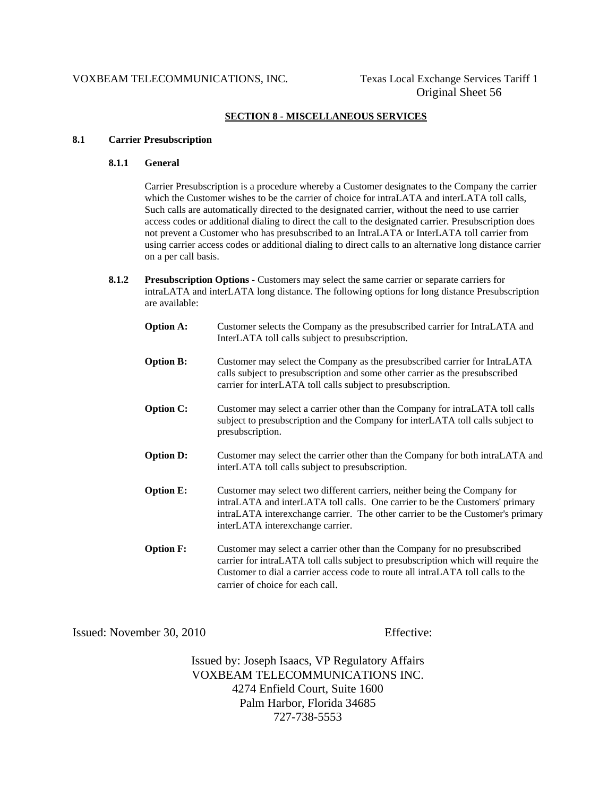#### VOXBEAM TELECOMMUNICATIONS, INC. Texas Local Exchange Services Tariff 1

#### **SECTION 8 - MISCELLANEOUS SERVICES**

#### **8.1 Carrier Presubscription**

#### **8.1.1 General**

 Carrier Presubscription is a procedure whereby a Customer designates to the Company the carrier which the Customer wishes to be the carrier of choice for intraLATA and interLATA toll calls, Such calls are automatically directed to the designated carrier, without the need to use carrier access codes or additional dialing to direct the call to the designated carrier. Presubscription does not prevent a Customer who has presubscribed to an IntraLATA or InterLATA toll carrier from using carrier access codes or additional dialing to direct calls to an alternative long distance carrier on a per call basis.

 **8.1.2 Presubscription Options** - Customers may select the same carrier or separate carriers for intraLATA and interLATA long distance. The following options for long distance Presubscription are available:

| <b>Option A:</b> | Customer selects the Company as the presubscribed carrier for IntraLATA and<br>InterLATA toll calls subject to presubscription.                                                                                                                                                        |
|------------------|----------------------------------------------------------------------------------------------------------------------------------------------------------------------------------------------------------------------------------------------------------------------------------------|
| <b>Option B:</b> | Customer may select the Company as the presubscribed carrier for IntraLATA<br>calls subject to presubscription and some other carrier as the presubscribed<br>carrier for interLATA toll calls subject to presubscription.                                                             |
| <b>Option C:</b> | Customer may select a carrier other than the Company for intraLATA toll calls<br>subject to presubscription and the Company for interLATA toll calls subject to<br>presubscription.                                                                                                    |
| <b>Option D:</b> | Customer may select the carrier other than the Company for both intraLATA and<br>interLATA toll calls subject to presubscription.                                                                                                                                                      |
| <b>Option E:</b> | Customer may select two different carriers, neither being the Company for<br>intraLATA and interLATA toll calls. One carrier to be the Customers' primary<br>intraLATA interexchange carrier. The other carrier to be the Customer's primary<br>interLATA interexchange carrier.       |
| <b>Option F:</b> | Customer may select a carrier other than the Company for no presubscribed<br>carrier for intraLATA toll calls subject to presubscription which will require the<br>Customer to dial a carrier access code to route all intraLATA toll calls to the<br>carrier of choice for each call. |

Issued: November 30, 2010 Effective: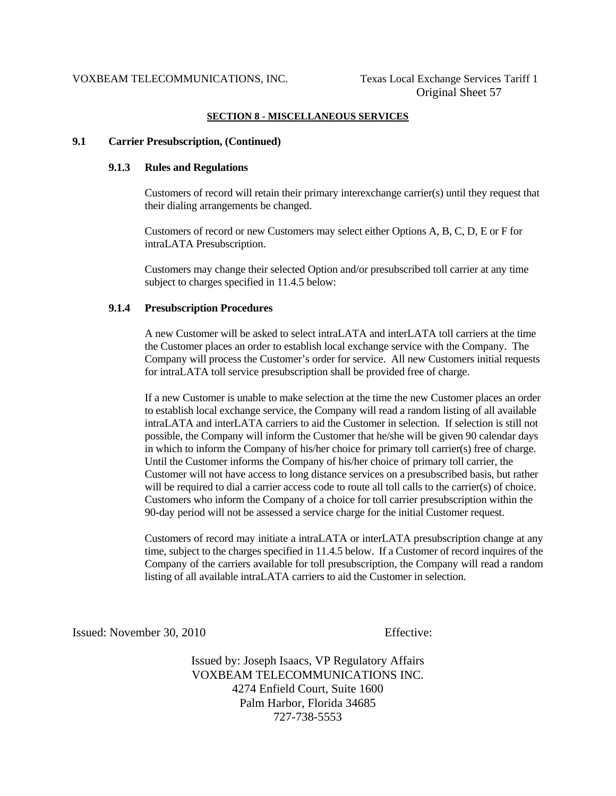#### **SECTION 8 - MISCELLANEOUS SERVICES**

#### **9.1 Carrier Presubscription, (Continued)**

#### **9.1.3 Rules and Regulations**

 Customers of record will retain their primary interexchange carrier(s) until they request that their dialing arrangements be changed.

 Customers of record or new Customers may select either Options A, B, C, D, E or F for intraLATA Presubscription.

 Customers may change their selected Option and/or presubscribed toll carrier at any time subject to charges specified in 11.4.5 below:

#### **9.1.4 Presubscription Procedures**

 A new Customer will be asked to select intraLATA and interLATA toll carriers at the time the Customer places an order to establish local exchange service with the Company. The Company will process the Customer's order for service. All new Customers initial requests for intraLATA toll service presubscription shall be provided free of charge.

 If a new Customer is unable to make selection at the time the new Customer places an order to establish local exchange service, the Company will read a random listing of all available intraLATA and interLATA carriers to aid the Customer in selection. If selection is still not possible, the Company will inform the Customer that he/she will be given 90 calendar days in which to inform the Company of his/her choice for primary toll carrier(s) free of charge. Until the Customer informs the Company of his/her choice of primary toll carrier, the Customer will not have access to long distance services on a presubscribed basis, but rather will be required to dial a carrier access code to route all toll calls to the carrier(s) of choice. Customers who inform the Company of a choice for toll carrier presubscription within the 90-day period will not be assessed a service charge for the initial Customer request.

 Customers of record may initiate a intraLATA or interLATA presubscription change at any time, subject to the charges specified in 11.4.5 below. If a Customer of record inquires of the Company of the carriers available for toll presubscription, the Company will read a random listing of all available intraLATA carriers to aid the Customer in selection.

Issued: November 30, 2010 Effective: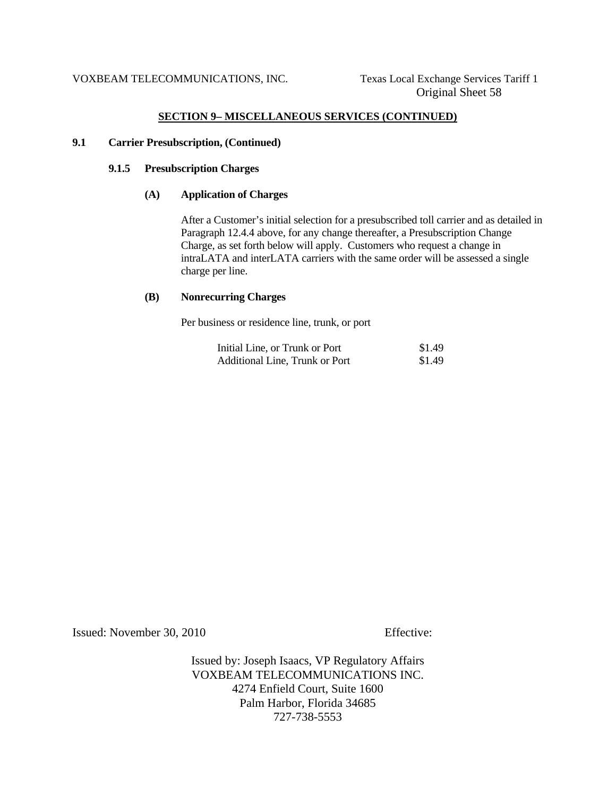#### **SECTION 9– MISCELLANEOUS SERVICES (CONTINUED)**

#### **9.1 Carrier Presubscription, (Continued)**

## **9.1.5 Presubscription Charges**

#### **(A) Application of Charges**

 After a Customer's initial selection for a presubscribed toll carrier and as detailed in Paragraph 12.4.4 above, for any change thereafter, a Presubscription Change Charge, as set forth below will apply. Customers who request a change in intraLATA and interLATA carriers with the same order will be assessed a single charge per line.

#### **(B) Nonrecurring Charges**

Per business or residence line, trunk, or port

| Initial Line, or Trunk or Port | \$1.49 |
|--------------------------------|--------|
| Additional Line, Trunk or Port | \$1.49 |

Issued: November 30, 2010 Effective: